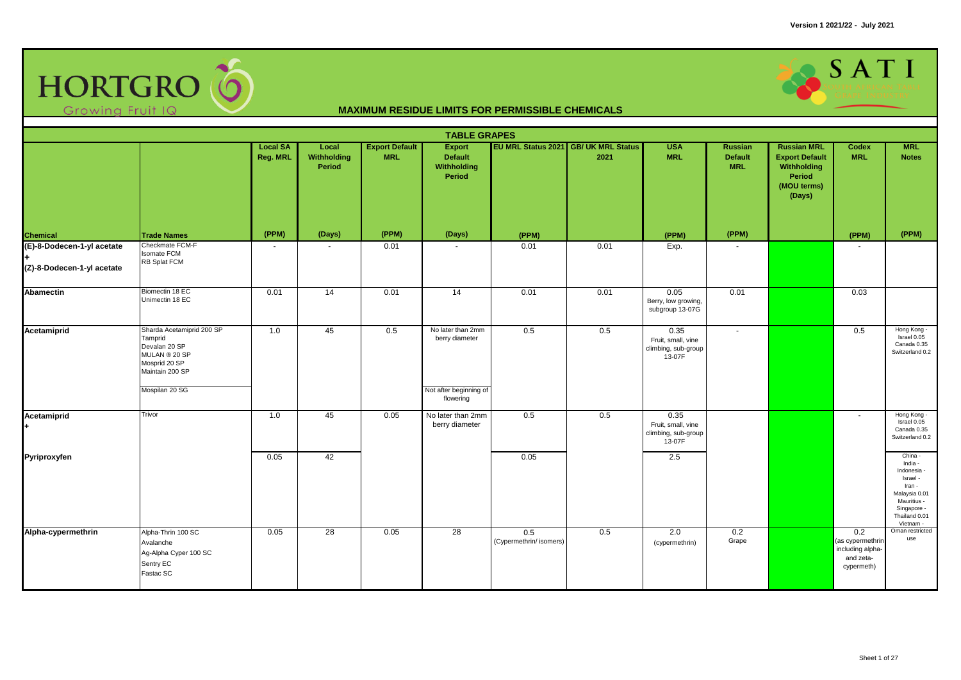

|                                                                                   |                                                                                                                              |                             |                                |                                     | <b>TABLE GRAPES</b>                                           |                                |                                              |                                                             |                                                |                                                                                               |                                                                        |                                                                                                                                      |
|-----------------------------------------------------------------------------------|------------------------------------------------------------------------------------------------------------------------------|-----------------------------|--------------------------------|-------------------------------------|---------------------------------------------------------------|--------------------------------|----------------------------------------------|-------------------------------------------------------------|------------------------------------------------|-----------------------------------------------------------------------------------------------|------------------------------------------------------------------------|--------------------------------------------------------------------------------------------------------------------------------------|
|                                                                                   |                                                                                                                              | <b>Local SA</b><br>Reg. MRL | Local<br>Withholding<br>Period | <b>Export Default</b><br><b>MRL</b> | <b>Export</b><br><b>Default</b><br>Withholding<br>Period      |                                | EU MRL Status 2021 GB/ UK MRL Status<br>2021 | <b>USA</b><br><b>MRL</b>                                    | <b>Russian</b><br><b>Default</b><br><b>MRL</b> | <b>Russian MRL</b><br><b>Export Default</b><br>Withholding<br>Period<br>(MOU terms)<br>(Days) | <b>Codex</b><br><b>MRL</b>                                             | <b>MRL</b><br><b>Notes</b>                                                                                                           |
|                                                                                   | <b>Trade Names</b>                                                                                                           | (PPM)                       | (Days)                         | (PPM)                               | (Days)                                                        | (PPM)                          |                                              | (PPM)                                                       | (PPM)                                          |                                                                                               | (PPM)                                                                  | (PPM)                                                                                                                                |
| Chemical<br>(E)-8-Dodecen-1-yl acetate<br>$\ddot{}$<br>(Z)-8-Dodecen-1-yl acetate | Checkmate FCM-F<br><b>Isomate FCM</b><br>RB Splat FCM                                                                        |                             |                                | 0.01                                |                                                               | 0.01                           | 0.01                                         | Exp.                                                        |                                                |                                                                                               |                                                                        |                                                                                                                                      |
| Abamectin                                                                         | Biomectin 18 EC<br>Unimectin 18 EC                                                                                           | 0.01                        | 14                             | 0.01                                | 14                                                            | 0.01                           | 0.01                                         | 0.05<br>Berry, low growing,<br>subgroup 13-07G              | 0.01                                           |                                                                                               | 0.03                                                                   |                                                                                                                                      |
| Acetamiprid                                                                       | Sharda Acetamiprid 200 SP<br>Tamprid<br>Devalan 20 SP<br>MULAN ® 20 SP<br>Mosprid 20 SP<br>Maintain 200 SP<br>Mospilan 20 SG | 1.0                         | 45                             | 0.5                                 | No later than 2mm<br>berry diameter<br>Not after beginning of | 0.5                            | 0.5                                          | 0.35<br>Fruit, small, vine<br>climbing, sub-group<br>13-07F | $\mathbf{r}$                                   |                                                                                               | 0.5                                                                    | Hong Kong -<br>Israel 0.05<br>Canada 0.35<br>Switzerland 0.2                                                                         |
| Acetamiprid                                                                       | Trivor                                                                                                                       | 1.0                         | 45                             | 0.05                                | flowering<br>No later than 2mm<br>berry diameter              | 0.5                            | 0.5                                          | 0.35<br>Fruit, small, vine<br>climbing, sub-group<br>13-07F |                                                |                                                                                               | $\sim$                                                                 | Hong Kong -<br>Israel $0.05$<br>Canada 0.35<br>Switzerland 0.2                                                                       |
| Pyriproxyfen                                                                      |                                                                                                                              | 0.05                        | 42                             |                                     |                                                               | 0.05                           |                                              | 2.5                                                         |                                                |                                                                                               |                                                                        | China -<br>India -<br>Indonesia -<br>Israel -<br>Iran -<br>Malaysia 0.01<br>Mauritius -<br>Singapore -<br>Thailand 0.01<br>Vietnam - |
| Alpha-cypermethrin                                                                | Alpha-Thrin 100 SC<br>Avalanche<br>Ag-Alpha Cyper 100 SC<br>Sentry EC<br>Fastac SC                                           | 0.05                        | 28                             | 0.05                                | 28                                                            | 0.5<br>(Cypermethrin/ isomers) | 0.5                                          | 2.0<br>(cypermethrin)                                       | 0.2<br>Grape                                   |                                                                                               | 0.2<br>(as cypermethrin<br>including alpha-<br>and zeta-<br>cypermeth) | Oman restricted<br>use                                                                                                               |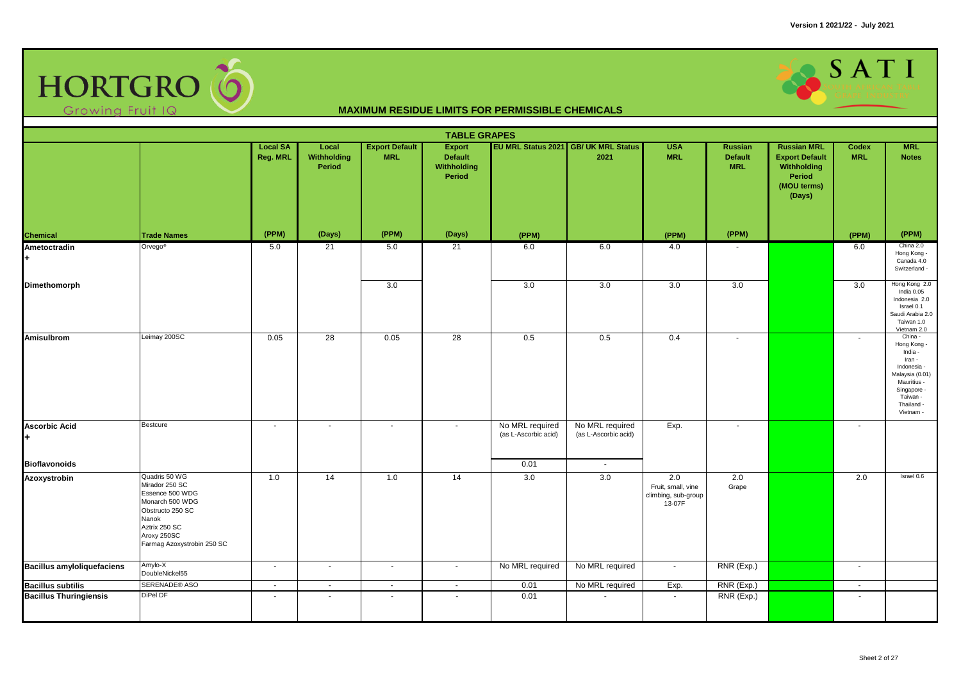

|                                   |                                                                                                                                                                  |                             |                                |                                     | <b>TABLE GRAPES</b>                                      |                                         |                                              |                                                            |                                         |                                                                                               |                     |                                                                                                                                                    |
|-----------------------------------|------------------------------------------------------------------------------------------------------------------------------------------------------------------|-----------------------------|--------------------------------|-------------------------------------|----------------------------------------------------------|-----------------------------------------|----------------------------------------------|------------------------------------------------------------|-----------------------------------------|-----------------------------------------------------------------------------------------------|---------------------|----------------------------------------------------------------------------------------------------------------------------------------------------|
|                                   |                                                                                                                                                                  | <b>Local SA</b><br>Reg. MRL | Local<br>Withholding<br>Period | <b>Export Default</b><br><b>MRL</b> | <b>Export</b><br>Default<br><b>Withholding</b><br>Period |                                         | EU MRL Status 2021 GB/ UK MRL Status<br>2021 | <b>USA</b><br><b>MRL</b>                                   | Russian<br><b>Default</b><br><b>MRL</b> | <b>Russian MRL</b><br><b>Export Default</b><br>Withholding<br>Period<br>(MOU terms)<br>(Days) | Codex<br><b>MRL</b> | <b>MRL</b><br><b>Notes</b>                                                                                                                         |
| <b>Chemical</b>                   | <b>Trade Names</b>                                                                                                                                               | (PPM)                       | (Days)                         | (PPM)                               | (Days)                                                   | (PPM)                                   |                                              | (PPM)                                                      | (PPM)                                   |                                                                                               | (PPM)               | (PPM)                                                                                                                                              |
| Ametoctradin                      | Orvego <sup>®</sup>                                                                                                                                              | 5.0                         | 21                             | 5.0                                 | 21                                                       | 6.0                                     | 6.0                                          | 4.0                                                        | $\overline{\phantom{a}}$                |                                                                                               | 6.0                 | China 2.0<br>Hong Kong -<br>Canada 4.0<br>Switzerland -                                                                                            |
| Dimethomorph                      |                                                                                                                                                                  |                             |                                | 3.0                                 |                                                          | 3.0                                     | 3.0                                          | 3.0                                                        | 3.0                                     |                                                                                               | 3.0                 | Hong Kong 2.0<br>India 0.05<br>Indonesia 2.0<br>Israel 0.1<br>Saudi Arabia 2.0<br>Taiwan 1.0<br>Vietnam 2.0                                        |
| <b>Amisulbrom</b>                 | Leimay 200SC                                                                                                                                                     | 0.05                        | $\overline{28}$                | 0.05                                | 28                                                       | 0.5                                     | 0.5                                          | 0.4                                                        | $\sim$                                  |                                                                                               | $\sim$              | China -<br>Hong Kong -<br>India -<br>Iran -<br>Indonesia -<br>Malaysia (0.01)<br>Mauritius -<br>Singapore -<br>Taiwan -<br>Thailand -<br>Vietnam - |
| <b>Ascorbic Acid</b>              | Bestcure                                                                                                                                                         | $\sim$                      | $\sim$                         | $\omega$                            | $\mathbf{u}$                                             | No MRL required<br>(as L-Ascorbic acid) | No MRL required<br>(as L-Ascorbic acid)      | Exp.                                                       | $\sim$                                  |                                                                                               | $\sim$              |                                                                                                                                                    |
| <b>Bioflavonoids</b>              |                                                                                                                                                                  |                             |                                |                                     |                                                          | 0.01                                    | $\sim$                                       |                                                            |                                         |                                                                                               |                     |                                                                                                                                                    |
| Azoxystrobin                      | Quadris 50 WG<br>Mirador 250 SC<br>Essence 500 WDG<br>Monarch 500 WDG<br>Obstructo 250 SC<br>Nanok<br>Aztrix 250 SC<br>Aroxy 250SC<br>Farmag Azoxystrobin 250 SC | 1.0                         | $\overline{14}$                | 1.0                                 | 14                                                       | 3.0                                     | 3.0                                          | 2.0<br>Fruit, small, vine<br>climbing, sub-group<br>13-07F | 2.0<br>Grape                            |                                                                                               | 2.0                 | Israel 0.6                                                                                                                                         |
| <b>Bacillus amyloliquefaciens</b> | Amylo-X<br>DoubleNickel55                                                                                                                                        | $\sim$                      | $\blacksquare$                 | $\blacksquare$                      | ÷,                                                       | No MRL required                         | No MRL required                              | $\mathbf{r}$                                               | RNR (Exp.)                              |                                                                                               | $\sim$              |                                                                                                                                                    |
| <b>Bacillus subtilis</b>          | SERENADE® ASO                                                                                                                                                    | $\sim$                      | $\sim$                         | $\mathcal{L}_{\mathcal{A}}$         | $\mathbf{r}$                                             | 0.01                                    | No MRL required                              | Exp.                                                       | RNR (Exp.)                              |                                                                                               | $\mathbf{u}$        |                                                                                                                                                    |
| <b>Bacillus Thuringiensis</b>     | DiPel DF                                                                                                                                                         | $\overline{\phantom{a}}$    |                                | $\blacksquare$                      | $\sim$                                                   | 0.01                                    |                                              | $\sim$                                                     | RNR (Exp.)                              |                                                                                               | $\sim$              |                                                                                                                                                    |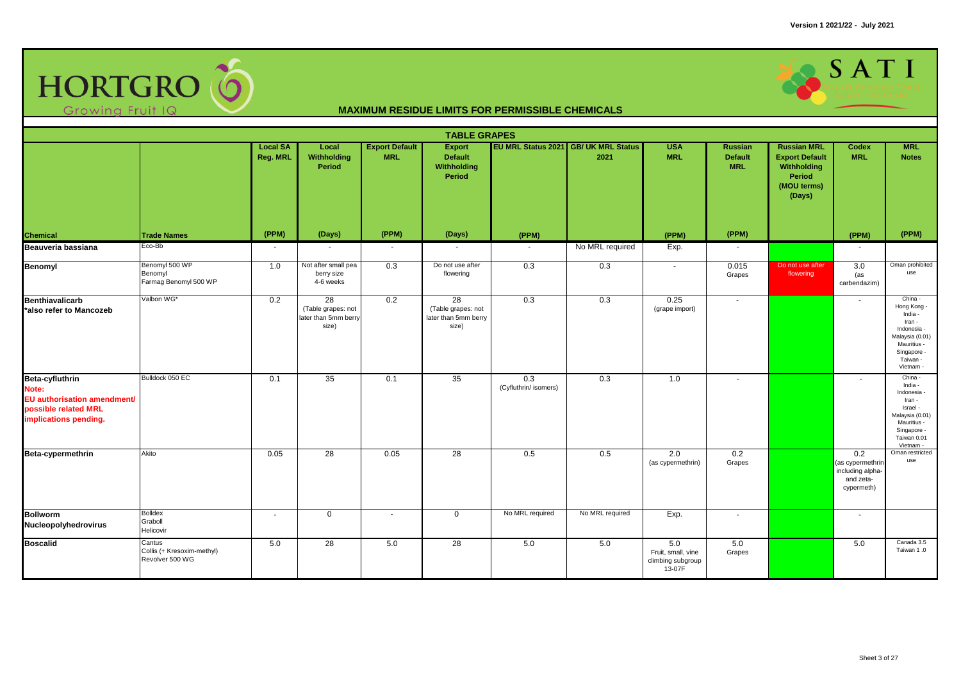

|                                                                                                          | <b>TABLE GRAPES</b><br>EU MRL Status 2021 GB/ UK MRL Status<br><b>MRL</b><br><b>Local SA</b><br>Local<br><b>Export Default</b><br><b>USA</b><br><b>Russian MRL</b><br>Export<br><b>Russian</b><br><b>Codex</b> |          |                                                           |            |                                                           |                              |                 |                                                          |                              |                                                                                |                                                                        |                                                                                                                                      |  |  |
|----------------------------------------------------------------------------------------------------------|----------------------------------------------------------------------------------------------------------------------------------------------------------------------------------------------------------------|----------|-----------------------------------------------------------|------------|-----------------------------------------------------------|------------------------------|-----------------|----------------------------------------------------------|------------------------------|--------------------------------------------------------------------------------|------------------------------------------------------------------------|--------------------------------------------------------------------------------------------------------------------------------------|--|--|
|                                                                                                          |                                                                                                                                                                                                                | Reg. MRL | Withholding<br>Period                                     | <b>MRL</b> | <b>Default</b><br>Withholding<br>Period                   |                              | 2021            | <b>MRL</b>                                               | <b>Default</b><br><b>MRL</b> | <b>Export Default</b><br>Withholding<br><b>Period</b><br>(MOU terms)<br>(Days) | <b>MRL</b>                                                             | <b>Notes</b>                                                                                                                         |  |  |
| Chemical                                                                                                 | <b>Trade Names</b>                                                                                                                                                                                             | (PPM)    | (Days)                                                    | (PPM)      | (Days)                                                    | (PPM)                        |                 | (PPM)                                                    | (PPM)                        |                                                                                | (PPM)                                                                  | (PPM)                                                                                                                                |  |  |
| Beauveria bassiana                                                                                       | Eco-Bb                                                                                                                                                                                                         | $\sim$   | $\sim$                                                    | $\sim$     | $\sim$                                                    | $\sim$                       | No MRL required | Exp.                                                     | $\sim$                       |                                                                                | $\sim$                                                                 |                                                                                                                                      |  |  |
| <b>Benomyl</b>                                                                                           | Benomyl 500 WP<br>Benomyl<br>Farmag Benomyl 500 WP                                                                                                                                                             | 1.0      | Not after small pea<br>berry size<br>4-6 weeks            | 0.3        | Do not use after<br>flowering                             | 0.3                          | 0.3             | $\sim$                                                   | 0.015<br>Grapes              | Do not use after<br>flowering                                                  | 3.0<br>(as<br>carbendazim)                                             | Oman prohibited<br>use                                                                                                               |  |  |
| <b>Benthiavalicarb</b><br>*also refer to Mancozeb                                                        | Valbon WG*                                                                                                                                                                                                     | 0.2      | 28<br>(Table grapes: not<br>later than 5mm berry<br>size) | 0.2        | 28<br>(Table grapes: not<br>later than 5mm berry<br>size) | 0.3                          | 0.3             | 0.25<br>(grape import)                                   | $\overline{\phantom{a}}$     |                                                                                | $\sim$                                                                 | China -<br>Hong Kong -<br>India -<br>Iran -<br>Indonesia -<br>Malaysia (0.01)<br>Mauritius -<br>Singapore -<br>Taiwan -<br>Vietnam - |  |  |
| Beta-cyfluthrin<br>Note:<br>EU authorisation amendment/<br>possible related MRL<br>implications pending. | Bulldock 050 EC                                                                                                                                                                                                | 0.1      | 35                                                        | 0.1        | 35                                                        | 0.3<br>(Cyfluthrin/ isomers) | 0.3             | 1.0                                                      | $\sim$                       |                                                                                | $\sim$                                                                 | China -<br>India -<br>Indonesia -<br>Iran -<br>Israel -<br>Malaysia (0.01)<br>Mauritius -<br>Singapore -<br>Taiwan 0.01<br>Vietnam - |  |  |
| Beta-cypermethrin                                                                                        | Akito                                                                                                                                                                                                          | 0.05     | 28                                                        | 0.05       | 28                                                        | 0.5                          | 0.5             | 2.0<br>(as cypermethrin)                                 | 0.2<br>Grapes                |                                                                                | 0.2<br>(as cypermethrin<br>including alpha-<br>and zeta-<br>cypermeth) | Oman restricted<br>use                                                                                                               |  |  |
| <b>Bollworm</b><br>Nucleopolyhedrovirus                                                                  | Bolldex<br>Graboll<br>Helicovir                                                                                                                                                                                | ۰        | $\mathbf 0$                                               | ۰          | $\mathbf 0$                                               | No MRL required              | No MRL required | Exp.                                                     | $\overline{\phantom{a}}$     |                                                                                | $\overline{\phantom{a}}$                                               |                                                                                                                                      |  |  |
| <b>Boscalid</b>                                                                                          | Cantus<br>Collis (+ Kresoxim-methyl)<br>Revolver 500 WG                                                                                                                                                        | 5.0      | 28                                                        | 5.0        | 28                                                        | 5.0                          | 5.0             | 5.0<br>Fruit, small, vine<br>climbing subgroup<br>13-07F | 5.0<br>Grapes                |                                                                                | 5.0                                                                    | Canada 3.5<br>Taiwan 1.0                                                                                                             |  |  |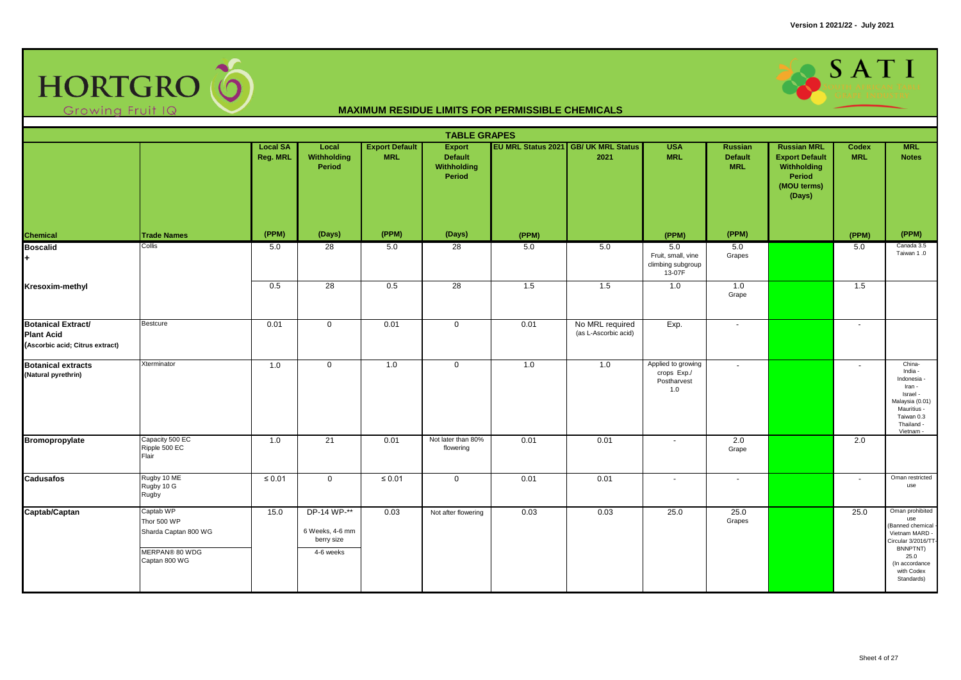

|                                                                                   |                                                                                     |                             |                                                           |                                     | <b>TABLE GRAPES</b>                                      |                           |                                         |                                                          |                                                |                                                                                               |                            |                                                                                                                                                       |
|-----------------------------------------------------------------------------------|-------------------------------------------------------------------------------------|-----------------------------|-----------------------------------------------------------|-------------------------------------|----------------------------------------------------------|---------------------------|-----------------------------------------|----------------------------------------------------------|------------------------------------------------|-----------------------------------------------------------------------------------------------|----------------------------|-------------------------------------------------------------------------------------------------------------------------------------------------------|
|                                                                                   |                                                                                     | <b>Local SA</b><br>Reg. MRL | Local<br>Withholding<br><b>Period</b>                     | <b>Export Default</b><br><b>MRL</b> | <b>Export</b><br><b>Default</b><br>Withholding<br>Period | <b>EU MRL Status 2021</b> | <b>GB/ UK MRL Status</b><br>2021        | <b>USA</b><br><b>MRL</b>                                 | <b>Russian</b><br><b>Default</b><br><b>MRL</b> | <b>Russian MRL</b><br><b>Export Default</b><br>Withholding<br>Period<br>(MOU terms)<br>(Days) | <b>Codex</b><br><b>MRL</b> | <b>MRL</b><br><b>Notes</b>                                                                                                                            |
| <b>Chemical</b>                                                                   | <b>Trade Names</b>                                                                  | (PPM)                       | (Days)                                                    | (PPM)                               | (Days)                                                   | (PPM)                     |                                         | (PPM)                                                    | (PPM)                                          |                                                                                               | (PPM)                      | (PPM)                                                                                                                                                 |
| <b>Boscalid</b><br>٠                                                              | Collis                                                                              | 5.0                         | $\overline{28}$                                           | 5.0                                 | 28                                                       | 5.0                       | 5.0                                     | 5.0<br>Fruit, small, vine<br>climbing subgroup<br>13-07F | 5.0<br>Grapes                                  |                                                                                               | 5.0                        | Canada 3.5<br>Taiwan 1.0                                                                                                                              |
| Kresoxim-methyl                                                                   |                                                                                     | 0.5                         | $\overline{28}$                                           | 0.5                                 | 28                                                       | 1.5                       | 1.5                                     | 1.0                                                      | 1.0<br>Grape                                   |                                                                                               | 1.5                        |                                                                                                                                                       |
| <b>Botanical Extract/</b><br><b>Plant Acid</b><br>(Ascorbic acid; Citrus extract) | Bestcure                                                                            | 0.01                        | $\mathbf 0$                                               | 0.01                                | $\mathbf 0$                                              | 0.01                      | No MRL required<br>(as L-Ascorbic acid) | Exp.                                                     | $\overline{\phantom{a}}$                       |                                                                                               | $\sim$                     |                                                                                                                                                       |
| <b>Botanical extracts</b><br>(Natural pyrethrin)                                  | Xterminator                                                                         | 1.0                         | $\mathbf 0$                                               | 1.0                                 | $\mathbf 0$                                              | 1.0                       | 1.0                                     | Applied to growing<br>crops Exp./<br>Postharvest<br>1.0  | $\blacksquare$                                 |                                                                                               | $\blacksquare$             | China-<br>India -<br>Indonesia -<br>Iran -<br>Israel -<br>Malaysia (0.01)<br>Mauritius -<br>Taiwan 0.3<br>Thailand -<br>Vietnam -                     |
| Bromopropylate                                                                    | Capacity 500 EC<br>Ripple 500 EC<br>Flair                                           | 1.0                         | 21                                                        | 0.01                                | Not later than 80%<br>flowering                          | 0.01                      | 0.01                                    | $\blacksquare$                                           | 2.0<br>Grape                                   |                                                                                               | 2.0                        |                                                                                                                                                       |
| <b>Cadusafos</b>                                                                  | Rugby 10 ME<br>Rugby 10 G<br>Rugby                                                  | $\leq 0.01$                 | $\mathbf 0$                                               | $\leq 0.01$                         | $\mathbf 0$                                              | 0.01                      | 0.01                                    | $\overline{a}$                                           | ٠                                              |                                                                                               | $\sim$                     | Oman restricted<br>use                                                                                                                                |
| Captab/Captan                                                                     | Captab WP<br>Thor 500 WP<br>Sharda Captan 800 WG<br>MERPAN® 80 WDG<br>Captan 800 WG | 15.0                        | DP-14 WP-**<br>6 Weeks, 4-6 mm<br>berry size<br>4-6 weeks | 0.03                                | Not after flowering                                      | 0.03                      | 0.03                                    | 25.0                                                     | 25.0<br>Grapes                                 |                                                                                               | 25.0                       | Oman prohibited<br>use<br>(Banned chemical<br>Vietnam MARD -<br>Circular 3/2016/TT-<br>BNNPTNT)<br>25.0<br>(In accordance<br>with Codex<br>Standards) |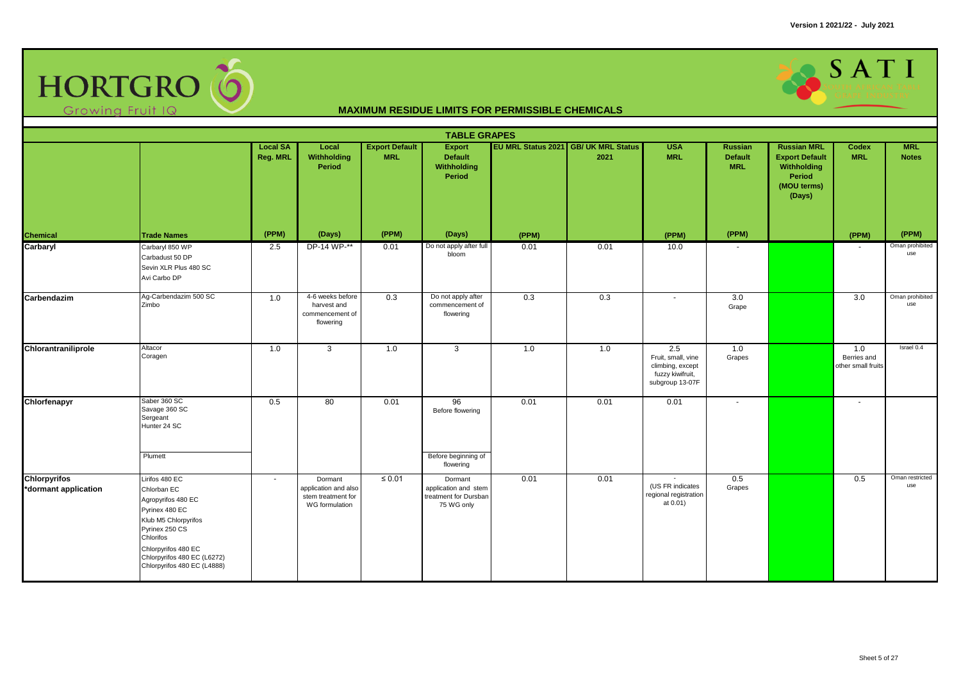

|                      |                                                                                                                                                                                                 |                             |                                                                 |                                     | <b>TABLE GRAPES</b>                                         |                           |                                  |                                                                                      |                                                |                                                                                               |                                          |                            |
|----------------------|-------------------------------------------------------------------------------------------------------------------------------------------------------------------------------------------------|-----------------------------|-----------------------------------------------------------------|-------------------------------------|-------------------------------------------------------------|---------------------------|----------------------------------|--------------------------------------------------------------------------------------|------------------------------------------------|-----------------------------------------------------------------------------------------------|------------------------------------------|----------------------------|
|                      |                                                                                                                                                                                                 | <b>Local SA</b><br>Reg. MRL | Local<br>Withholding<br><b>Period</b>                           | <b>Export Default</b><br><b>MRL</b> | <b>Export</b><br><b>Default</b><br>Withholding<br>Period    | <b>EU MRL Status 2021</b> | <b>GB/ UK MRL Status</b><br>2021 | <b>USA</b><br><b>MRL</b>                                                             | <b>Russian</b><br><b>Default</b><br><b>MRL</b> | <b>Russian MRL</b><br><b>Export Default</b><br>Withholding<br>Period<br>(MOU terms)<br>(Days) | Codex<br><b>MRL</b>                      | <b>MRL</b><br><b>Notes</b> |
| <b>Chemical</b>      | <b>Trade Names</b>                                                                                                                                                                              | (PPM)                       | (Days)                                                          | (PPM)                               | (Days)                                                      | (PPM)                     |                                  | (PPM)                                                                                | (PPM)                                          |                                                                                               | (PPM)                                    | (PPM)                      |
| Carbaryl             | Carbaryl 850 WP<br>Carbadust 50 DP<br>Sevin XLR Plus 480 SC<br>Avi Carbo DP                                                                                                                     | 2.5                         | DP-14 WP-**                                                     | 0.01                                | Do not apply after full<br>bloom                            | 0.01                      | 0.01                             | 10.0                                                                                 |                                                |                                                                                               |                                          | Oman prohibited<br>use     |
| Carbendazim          | Ag-Carbendazim 500 SC<br>Zimbo                                                                                                                                                                  | 1.0                         | 4-6 weeks before<br>harvest and<br>commencement of<br>flowering | 0.3                                 | Do not apply after<br>commencement of<br>flowering          | 0.3                       | 0.3                              | $\sim$                                                                               | 3.0<br>Grape                                   |                                                                                               | $\overline{3.0}$                         | Oman prohibited<br>use     |
| Chlorantraniliprole  | Altacor<br>Coragen                                                                                                                                                                              | 1.0                         | 3                                                               | 1.0                                 | 3                                                           | 1.0                       | 1.0                              | 2.5<br>Fruit, small, vine<br>climbing, except<br>fuzzy kiwifruit,<br>subgroup 13-07F | 1.0<br>Grapes                                  |                                                                                               | 1.0<br>Berries and<br>other small fruits | Israel 0.4                 |
| Chlorfenapyr         | Saber 360 SC<br>Savage 360 SC<br>Sergeant<br>Hunter 24 SC<br>Plumett                                                                                                                            | 0.5                         | 80                                                              | 0.01                                | 96<br>Before flowering<br>Before beginning of               | 0.01                      | 0.01                             | 0.01                                                                                 | $\mathbf{r}$                                   |                                                                                               | $\sim$                                   |                            |
| <b>Chlorpyrifos</b>  | Lirifos 480 EC                                                                                                                                                                                  | $\sim$                      | Dormant                                                         | $\leq 0.01$                         | flowering<br>Dormant                                        | 0.01                      | 0.01                             |                                                                                      | 0.5                                            |                                                                                               | 0.5                                      | Oman restricted            |
| *dormant application | Chlorban EC<br>Agropyrifos 480 EC<br>Pyrinex 480 EC<br>Klub M5 Chlorpyrifos<br>Pyrinex 250 CS<br>Chlorifos<br>Chlorpyrifos 480 EC<br>Chlorpyrifos 480 EC (L6272)<br>Chlorpyrifos 480 EC (L4888) |                             | application and also<br>stem treatment for<br>WG formulation    |                                     | application and stem<br>treatment for Dursban<br>75 WG only |                           |                                  | (US FR indicates<br>regional registration<br>at 0.01)                                | Grapes                                         |                                                                                               |                                          | use                        |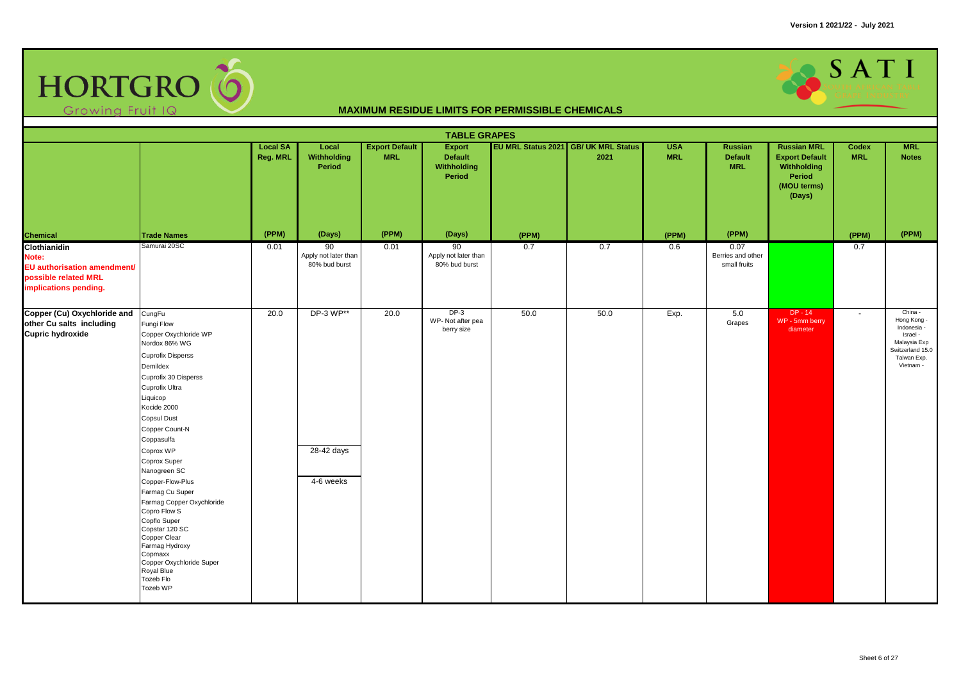

|                                                                                                       |                                                                                                                                                                                                                                                                                                                                                                                                                                                                                                                      |                             |                                             |                                     | <b>TABLE GRAPES</b>                                      |       |                                              |                          |                                           |                                                                                               |                     |                                                                                                                   |
|-------------------------------------------------------------------------------------------------------|----------------------------------------------------------------------------------------------------------------------------------------------------------------------------------------------------------------------------------------------------------------------------------------------------------------------------------------------------------------------------------------------------------------------------------------------------------------------------------------------------------------------|-----------------------------|---------------------------------------------|-------------------------------------|----------------------------------------------------------|-------|----------------------------------------------|--------------------------|-------------------------------------------|-----------------------------------------------------------------------------------------------|---------------------|-------------------------------------------------------------------------------------------------------------------|
|                                                                                                       |                                                                                                                                                                                                                                                                                                                                                                                                                                                                                                                      | <b>Local SA</b><br>Reg. MRL | Local<br>Withholding<br>Period              | <b>Export Default</b><br><b>MRL</b> | Export<br><b>Default</b><br>Withholding<br><b>Period</b> |       | EU MRL Status 2021 GB/ UK MRL Status<br>2021 | <b>USA</b><br><b>MRL</b> | Russian<br><b>Default</b><br><b>MRL</b>   | <b>Russian MRL</b><br><b>Export Default</b><br>Withholding<br>Period<br>(MOU terms)<br>(Days) | Codex<br><b>MRL</b> | <b>MRL</b><br><b>Notes</b>                                                                                        |
| <b>Chemical</b>                                                                                       | <b>Trade Names</b>                                                                                                                                                                                                                                                                                                                                                                                                                                                                                                   | (PPM)                       | (Days)                                      | (PPM)                               | (Days)                                                   | (PPM) |                                              | (PPM)                    | (PPM)                                     |                                                                                               | (PPM)               | (PPM)                                                                                                             |
| Clothianidin<br>Note:<br>EU authorisation amendment/<br>possible related MRL<br>implications pending. | Samurai 20SC                                                                                                                                                                                                                                                                                                                                                                                                                                                                                                         | 0.01                        | 90<br>Apply not later than<br>80% bud burst | 0.01                                | 90<br>Apply not later than<br>80% bud burst              | 0.7   | 0.7                                          | 0.6                      | 0.07<br>Berries and other<br>small fruits |                                                                                               | 0.7                 |                                                                                                                   |
| Copper (Cu) Oxychloride and<br>other Cu salts including<br><b>Cupric hydroxide</b>                    | CungFu<br>Fungi Flow<br>Copper Oxychloride WP<br>Nordox 86% WG<br><b>Cuprofix Disperss</b><br>Demildex<br>Cuprofix 30 Disperss<br>Cuprofix Ultra<br>Liquicop<br>Kocide 2000<br><b>Copsul Dust</b><br>Copper Count-N<br>Coppasulfa<br>Coprox WP<br>Coprox Super<br>Nanogreen SC<br>Copper-Flow-Plus<br>Farmag Cu Super<br>Farmag Copper Oxychloride<br>Copro Flow S<br>Copflo Super<br>Copstar 120 SC<br>Copper Clear<br>Farmag Hydroxy<br>Copmaxx<br>Copper Oxychloride Super<br>Royal Blue<br>Tozeb Flo<br>Tozeb WP | 20.0                        | DP-3 WP**<br>28-42 days<br>4-6 weeks        | 20.0                                | $DP-3$<br>WP-Not after pea<br>berry size                 | 50.0  | 50.0                                         | Exp.                     | 5.0<br>Grapes                             | $DP - 14$<br>WP - 5mm berry<br>diameter                                                       | $\sim$              | China -<br>Hong Kong -<br>Indonesia -<br>Israel -<br>Malaysia Exp<br>Switzerland 15.0<br>Taiwan Exp.<br>Vietnam - |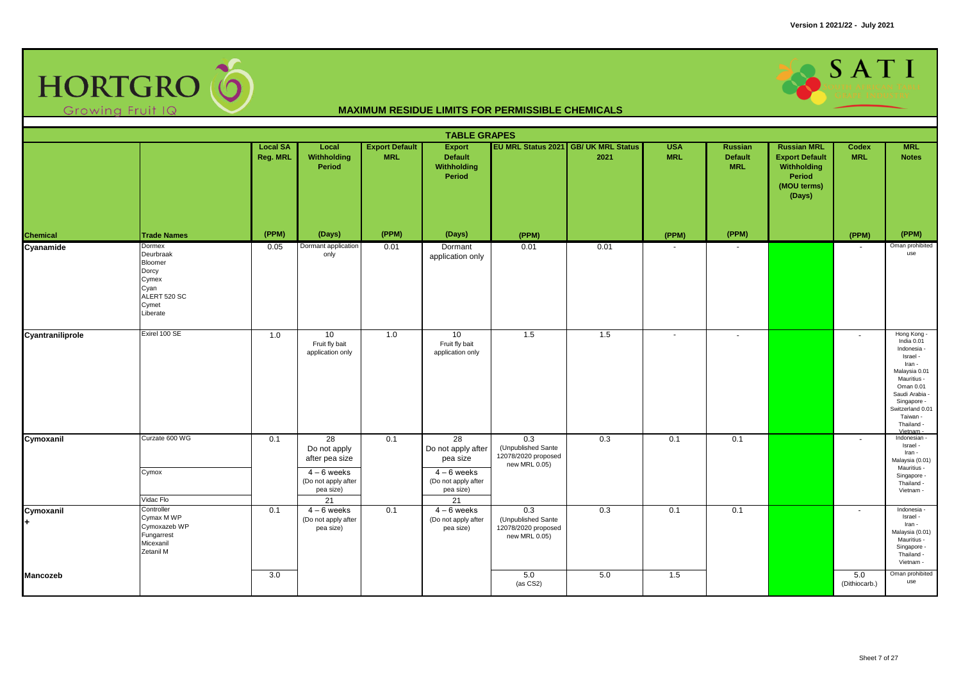

|                  |                                                                                               |                             |                                                                                                            |                                     | <b>TABLE GRAPES</b>                                                                                        |                                                                                |                                              |                          |                                                |                                                                                                      |                      |                                                                                                                                                                                                   |
|------------------|-----------------------------------------------------------------------------------------------|-----------------------------|------------------------------------------------------------------------------------------------------------|-------------------------------------|------------------------------------------------------------------------------------------------------------|--------------------------------------------------------------------------------|----------------------------------------------|--------------------------|------------------------------------------------|------------------------------------------------------------------------------------------------------|----------------------|---------------------------------------------------------------------------------------------------------------------------------------------------------------------------------------------------|
|                  |                                                                                               | <b>Local SA</b><br>Reg. MRL | Local<br>Withholding<br>Period                                                                             | <b>Export Default</b><br><b>MRL</b> | <b>Export</b><br><b>Default</b><br>Withholding<br>Period                                                   |                                                                                | EU MRL Status 2021 GB/ UK MRL Status<br>2021 | <b>USA</b><br><b>MRL</b> | <b>Russian</b><br><b>Default</b><br><b>MRL</b> | <b>Russian MRL</b><br><b>Export Default</b><br>Withholding<br><b>Period</b><br>(MOU terms)<br>(Days) | Codex<br><b>MRL</b>  | <b>MRL</b><br><b>Notes</b>                                                                                                                                                                        |
| Chemical         | <b>Trade Names</b>                                                                            | (PPM)                       | (Days)                                                                                                     | (PPM)                               | (Days)                                                                                                     | (PPM)                                                                          |                                              | (PPM)                    | (PPM)                                          |                                                                                                      | (PPM)                | (PPM)                                                                                                                                                                                             |
| Cyanamide        | Dormex<br>Deurbraak<br>Bloomer<br>Dorcy<br>Cymex<br>Cyan<br>ALERT 520 SC<br>Cymet<br>Liberate | 0.05                        | Dormant application<br>only                                                                                | 0.01                                | Dormant<br>application only                                                                                | 0.01                                                                           | 0.01                                         |                          |                                                |                                                                                                      |                      | Oman prohibited<br>use                                                                                                                                                                            |
| Cyantraniliprole | Exirel 100 SE                                                                                 | 1.0                         | 10<br>Fruit fly bait<br>application only                                                                   | 1.0                                 | 10<br>Fruit fly bait<br>application only                                                                   | 1.5                                                                            | 1.5                                          | $\sim$                   |                                                |                                                                                                      |                      | Hong Kong<br>India 0.01<br>Indonesia -<br>Israel -<br>Iran -<br>Malaysia 0.01<br>Mauritius -<br>Oman 0.01<br>Saudi Arabia<br>Singapore -<br>Switzerland 0.01<br>Taiwan -<br>Thailand -<br>Vietnam |
| Cymoxanil        | Curzate 600 WG<br>Cymox<br>Vidac Flo                                                          | 0.1                         | $\overline{28}$<br>Do not apply<br>after pea size<br>$4-6$ weeks<br>(Do not apply after<br>pea size)<br>21 | 0.1                                 | $\overline{28}$<br>Do not apply after<br>pea size<br>$4-6$ weeks<br>(Do not apply after<br>pea size)<br>21 | $\overline{0.3}$<br>(Unpublished Sante<br>12078/2020 proposed<br>new MRL 0.05) | 0.3                                          | 0.1                      | 0.1                                            |                                                                                                      | $\sim$               | Indonesian -<br>Israel -<br>Iran -<br>Malaysia (0.01)<br>Mauritius -<br>Singapore -<br>Thailand -<br>Vietnam -                                                                                    |
| Cymoxanil<br>+   | Controller<br>Cymax M WP<br>Cymoxazeb WP<br>Fungarrest<br>Micexanil<br>Zetanil M              | 0.1                         | $4 - 6$ weeks<br>(Do not apply after<br>pea size)                                                          | 0.1                                 | $4 - 6$ weeks<br>(Do not apply after<br>pea size)                                                          | 0.3<br>(Unpublished Sante<br>12078/2020 proposed<br>new MRL 0.05)              | 0.3                                          | 0.1                      | 0.1                                            |                                                                                                      | $\sim$               | Indonesia -<br>Israel -<br>Iran -<br>Malaysia (0.01)<br>Mauritius -<br>Singapore -<br>Thailand -<br>Vietnam -                                                                                     |
| Mancozeb         |                                                                                               | 3.0                         |                                                                                                            |                                     |                                                                                                            | 5.0<br>(as CS2)                                                                | 5.0                                          | 1.5                      |                                                |                                                                                                      | 5.0<br>(Dithiocarb.) | Oman prohibited<br>use                                                                                                                                                                            |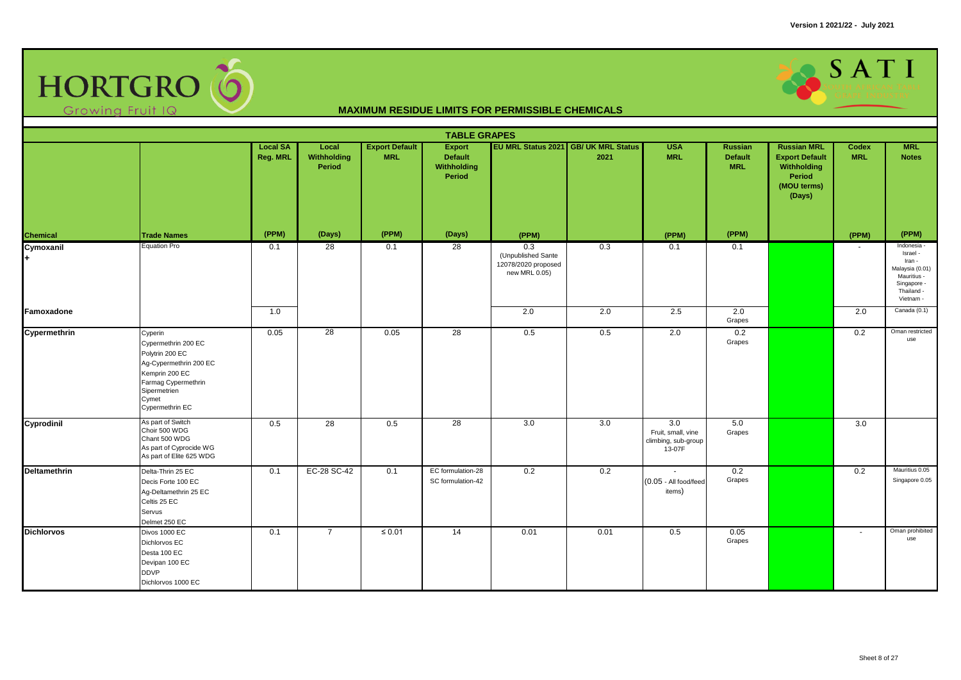

|                     | <b>TABLE GRAPES</b><br>EU MRL Status 2021 GB/ UK MRL Status<br><b>Local SA</b><br><b>Export Default</b><br><b>USA</b><br><b>Russian MRL</b><br><b>MRL</b><br>Local<br>Export<br>Russian<br><b>Codex</b> |          |                       |             |                                                |                                                                   |      |                                                                         |                       |                                                                         |            |                                                                                                               |  |  |
|---------------------|---------------------------------------------------------------------------------------------------------------------------------------------------------------------------------------------------------|----------|-----------------------|-------------|------------------------------------------------|-------------------------------------------------------------------|------|-------------------------------------------------------------------------|-----------------------|-------------------------------------------------------------------------|------------|---------------------------------------------------------------------------------------------------------------|--|--|
|                     |                                                                                                                                                                                                         | Reg. MRL | Withholding<br>Period | <b>MRL</b>  | <b>Default</b><br><b>Withholding</b><br>Period |                                                                   | 2021 | <b>MRL</b>                                                              | Default<br><b>MRL</b> | <b>Export Default</b><br>Withholding<br>Period<br>(MOU terms)<br>(Days) | <b>MRL</b> | <b>Notes</b>                                                                                                  |  |  |
| <b>Chemical</b>     | <b>Trade Names</b>                                                                                                                                                                                      | (PPM)    | (Days)                | (PPM)       | (Days)                                         | (PPM)                                                             |      | (PPM)                                                                   | (PPM)                 |                                                                         | (PPM)      | (PPM)                                                                                                         |  |  |
| Cymoxanil           | <b>Equation Pro</b>                                                                                                                                                                                     | 0.1      | $\overline{28}$       | 0.1         | 28                                             | 0.3<br>(Unpublished Sante<br>12078/2020 proposed<br>new MRL 0.05) | 0.3  | 0.1                                                                     | 0.1                   |                                                                         |            | Indonesia -<br>Israel -<br>Iran -<br>Malaysia (0.01)<br>Mauritius -<br>Singapore -<br>Thailand -<br>Vietnam - |  |  |
| Famoxadone          |                                                                                                                                                                                                         | 1.0      |                       |             |                                                | 2.0                                                               | 2.0  | 2.5                                                                     | 2.0<br>Grapes         |                                                                         | 2.0        | Canada (0.1)                                                                                                  |  |  |
| Cypermethrin        | Cyperin<br>Cypermethrin 200 EC<br>Polytrin 200 EC<br>Ag-Cypermethrin 200 EC<br>Kemprin 200 EC<br>Farmag Cypermethrin<br>Sipermetrien<br>Cymet<br>Cypermethrin EC                                        | 0.05     | $\overline{28}$       | 0.05        | $\overline{28}$                                | 0.5                                                               | 0.5  | 2.0                                                                     | 0.2<br>Grapes         |                                                                         | 0.2        | Oman restricted<br>use                                                                                        |  |  |
| Cyprodinil          | As part of Switch<br>Choir 500 WDG<br>Chant 500 WDG<br>As part of Cyprocide WG<br>As part of Elite 625 WDG                                                                                              | 0.5      | 28                    | 0.5         | 28                                             | 3.0                                                               | 3.0  | $\overline{3.0}$<br>Fruit, small, vine<br>climbing, sub-group<br>13-07F | 5.0<br>Grapes         |                                                                         | 3.0        |                                                                                                               |  |  |
| <b>Deltamethrin</b> | Delta-Thrin 25 EC<br>Decis Forte 100 EC<br>Ag-Deltamethrin 25 EC<br>Celtis 25 EC<br>Servus<br>Delmet 250 EC                                                                                             | 0.1      | EC-28 SC-42           | 0.1         | EC formulation-28<br>SC formulation-42         | 0.2                                                               | 0.2  | (0.05 - All food/feed<br>items)                                         | 0.2<br>Grapes         |                                                                         | 0.2        | Mauritius 0.05<br>Singapore 0.05                                                                              |  |  |
| <b>Dichlorvos</b>   | Divos 1000 EC<br>Dichlorvos EC<br>Desta 100 EC<br>Devipan 100 EC<br><b>DDVP</b><br>Dichlorvos 1000 EC                                                                                                   | 0.1      | $\overline{7}$        | $\leq 0.01$ | 14                                             | 0.01                                                              | 0.01 | 0.5                                                                     | 0.05<br>Grapes        |                                                                         | $\sim$     | Oman prohibited<br>use                                                                                        |  |  |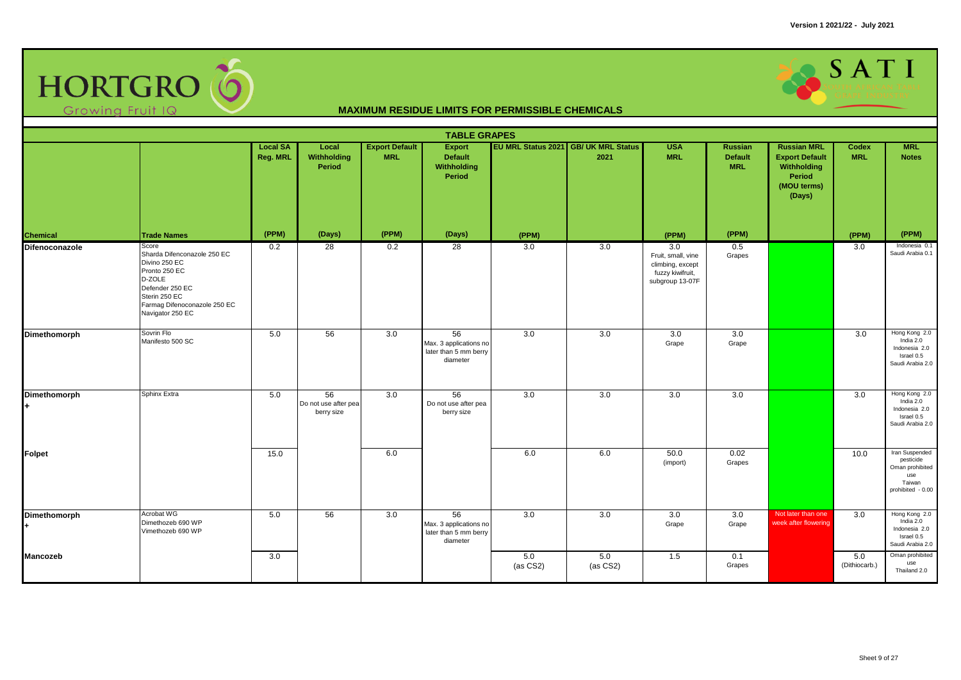

|                                      | <b>TABLE GRAPES</b><br>EU MRL Status 2021 GB/ UK MRL Status<br><b>Export Default</b><br><b>USA</b><br><b>Russian MRL</b><br><b>MRL</b><br><b>Local SA</b><br>Local<br><b>Export</b><br>Russian<br>Codex |          |                                          |            |                                                                   |                   |                 |                                                                                      |                              |                                                                         |                      |                                                                                      |  |  |
|--------------------------------------|---------------------------------------------------------------------------------------------------------------------------------------------------------------------------------------------------------|----------|------------------------------------------|------------|-------------------------------------------------------------------|-------------------|-----------------|--------------------------------------------------------------------------------------|------------------------------|-------------------------------------------------------------------------|----------------------|--------------------------------------------------------------------------------------|--|--|
|                                      |                                                                                                                                                                                                         | Reg. MRL | Withholding<br>Period                    | <b>MRL</b> | <b>Default</b><br>Withholding<br>Period                           |                   | 2021            | <b>MRL</b>                                                                           | <b>Default</b><br><b>MRL</b> | <b>Export Default</b><br>Withholding<br>Period<br>(MOU terms)<br>(Days) | <b>MRL</b>           | <b>Notes</b>                                                                         |  |  |
| <b>Chemical</b>                      | <b>Trade Names</b>                                                                                                                                                                                      | (PPM)    | (Days)                                   | (PPM)      | (Days)                                                            | (PPM)             |                 | (PPM)                                                                                | (PPM)                        |                                                                         | (PPM)                | (PPM)                                                                                |  |  |
| Difenoconazole                       | Score<br>Sharda Difenconazole 250 EC<br>Divino 250 EC<br>Pronto 250 EC<br>D-ZOLE<br>Defender 250 EC<br>Sterin 250 EC<br>Farmag Difenoconazole 250 EC<br>Navigator 250 EC                                | 0.2      | 28                                       | 0.2        | $\overline{28}$                                                   | 3.0               | 3.0             | 3.0<br>Fruit, small, vine<br>climbing, except<br>fuzzy kiwifruit,<br>subgroup 13-07F | 0.5<br>Grapes                |                                                                         | 3.0                  | Indonesia 0.1<br>Saudi Arabia 0.1                                                    |  |  |
| Dimethomorph                         | Sovrin Flo<br>Manifesto 500 SC                                                                                                                                                                          | 5.0      | 56                                       | 3.0        | 56<br>Max. 3 applications no<br>later than 5 mm berry<br>diameter | 3.0               | 3.0             | 3.0<br>Grape                                                                         | 3.0<br>Grape                 |                                                                         | 3.0                  | Hong Kong 2.0<br>India 2.0<br>Indonesia 2.0<br>Israel 0.5<br>Saudi Arabia 2.0        |  |  |
| Dimethomorph<br>$\ddot{\phantom{1}}$ | Sphinx Extra                                                                                                                                                                                            | 5.0      | 56<br>Do not use after pea<br>berry size | 3.0        | 56<br>Do not use after pea<br>berry size                          | 3.0               | 3.0             | 3.0                                                                                  | 3.0                          |                                                                         | 3.0                  | Hong Kong 2.0<br>India 2.0<br>Indonesia 2.0<br>Israel 0.5<br>Saudi Arabia 2.0        |  |  |
| <b>Folpet</b>                        |                                                                                                                                                                                                         | 15.0     |                                          | 6.0        |                                                                   | 6.0               | 6.0             | 50.0<br>(import)                                                                     | 0.02<br>Grapes               |                                                                         | 10.0                 | Iran Suspended<br>pesticide<br>Oman prohibited<br>use<br>Taiwan<br>prohibited - 0.00 |  |  |
| <b>Dimethomorph</b>                  | Acrobat WG<br>Dimethozeb 690 WP<br>Vimethozeb 690 WP                                                                                                                                                    | 5.0      | 56                                       | 3.0        | 56<br>Max. 3 applications no<br>later than 5 mm berry<br>diameter | 3.0               | 3.0             | 3.0<br>Grape                                                                         | 3.0<br>Grape                 | Not later than one<br>week after flowering                              | 3.0                  | Hong Kong 2.0<br>India 2.0<br>Indonesia 2.0<br>Israel 0.5<br>Saudi Arabia 2.0        |  |  |
| Mancozeb                             |                                                                                                                                                                                                         | 3.0      |                                          |            |                                                                   | 5.0<br>$(as CS2)$ | 5.0<br>(as CS2) | 1.5                                                                                  | 0.1<br>Grapes                |                                                                         | 5.0<br>(Dithiocarb.) | Oman prohibited<br>use<br>Thailand 2.0                                               |  |  |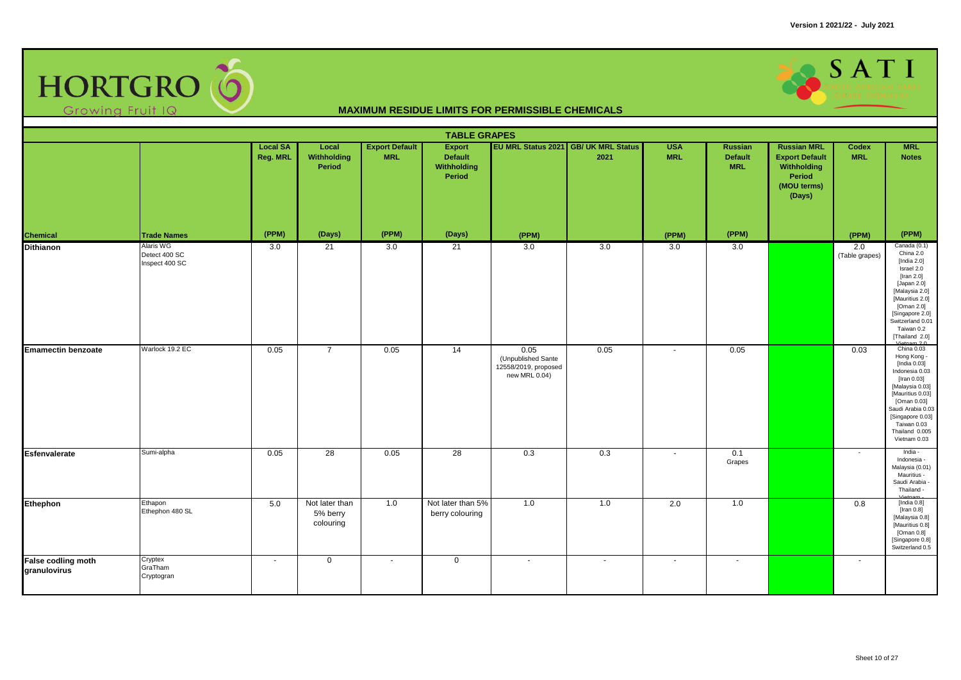

| <b>TABLE GRAPES</b><br>EU MRL Status 2021 GB/ UK MRL Status<br><b>Local SA</b><br>Local<br><b>Export Default</b><br><b>USA</b><br><b>Russian MRL</b><br><b>MRL</b><br><b>Export</b><br><b>Russian</b><br>Codex |                                              |          |                                         |            |                                         |                                                                     |        |                |                              |                                                                         |                       |                                                                                                                                                                                                                             |  |
|----------------------------------------------------------------------------------------------------------------------------------------------------------------------------------------------------------------|----------------------------------------------|----------|-----------------------------------------|------------|-----------------------------------------|---------------------------------------------------------------------|--------|----------------|------------------------------|-------------------------------------------------------------------------|-----------------------|-----------------------------------------------------------------------------------------------------------------------------------------------------------------------------------------------------------------------------|--|
|                                                                                                                                                                                                                |                                              | Reg. MRL | Withholding<br>Period                   | <b>MRL</b> | Default<br><b>Withholding</b><br>Period |                                                                     | 2021   | <b>MRL</b>     | <b>Default</b><br><b>MRL</b> | <b>Export Default</b><br>Withholding<br>Period<br>(MOU terms)<br>(Days) | <b>MRL</b>            | <b>Notes</b>                                                                                                                                                                                                                |  |
| <b>Chemical</b>                                                                                                                                                                                                | <b>Trade Names</b>                           | (PPM)    | (Days)                                  | (PPM)      | (Days)                                  | (PPM)                                                               |        | (PPM)          | (PPM)                        |                                                                         | (PPM)                 | (PPM)                                                                                                                                                                                                                       |  |
| <b>Dithianon</b>                                                                                                                                                                                               | Alaris WG<br>Detect 400 SC<br>Inspect 400 SC | 3.0      | 21                                      | 3.0        | 21                                      | 3.0                                                                 | 3.0    | 3.0            | 3.0                          |                                                                         | 2.0<br>(Table grapes) | Canada (0.1)<br>China 2.0<br>[India $2.0$ ]<br>Israel 2.0<br>[Iran $2.0$ ]<br>[Japan 2.0]<br>[Malaysia 2.0]<br>[Mauritius 2.0]<br>[Oman 2.0]<br>[Singapore 2.0]<br>Switzerland 0.01<br>Taiwan 0.2<br>[Thailand 2.0]         |  |
| <b>Emamectin benzoate</b>                                                                                                                                                                                      | Warlock 19.2 EC                              | 0.05     | $\overline{7}$                          | 0.05       | 14                                      | 0.05<br>(Unpublished Sante<br>12558/2019, proposed<br>new MRL 0.04) | 0.05   | $\blacksquare$ | 0.05                         |                                                                         | 0.03                  | Vietnam 2.0<br>Hong Kong -<br>[India 0.03]<br>Indonesia 0.03<br>[Iran 0.03]<br>[Malaysia 0.03]<br>[Mauritius 0.03]<br>[Oman 0.03]<br>Saudi Arabia 0.03<br>[Singapore 0.03]<br>Taiwan 0.03<br>Thailand 0.005<br>Vietnam 0.03 |  |
| Esfenvalerate                                                                                                                                                                                                  | Sumi-alpha                                   | 0.05     | 28                                      | 0.05       | 28                                      | 0.3                                                                 | 0.3    | ٠              | 0.1<br>Grapes                |                                                                         | $\sim$                | India -<br>Indonesia -<br>Malaysia (0.01)<br>Mauritius -<br>Saudi Arabia<br>Thailand -                                                                                                                                      |  |
| Ethephon                                                                                                                                                                                                       | Ethapon<br>Ethephon 480 SL                   | 5.0      | Not later than<br>5% berry<br>colouring | 1.0        | Not later than 5%<br>berry colouring    | 1.0                                                                 | 1.0    | 2.0            | 1.0                          |                                                                         | 0.8                   | [India 0.8]<br>[Iran $0.8$ ]<br>[Malaysia 0.8]<br>[Mauritius 0.8]<br>[Oman 0.8]<br>[Singapore 0.8]<br>Switzerland 0.5                                                                                                       |  |
| False codling moth<br>granulovirus                                                                                                                                                                             | Cryptex<br>GraTham<br>Cryptogran             | $\sim$   | $\mathbf 0$                             | $\sim$     | $\mathbf 0$                             | $\sim$                                                              | $\sim$ | $\mathbf{r}$   | $\sim$                       |                                                                         | $\sim$                |                                                                                                                                                                                                                             |  |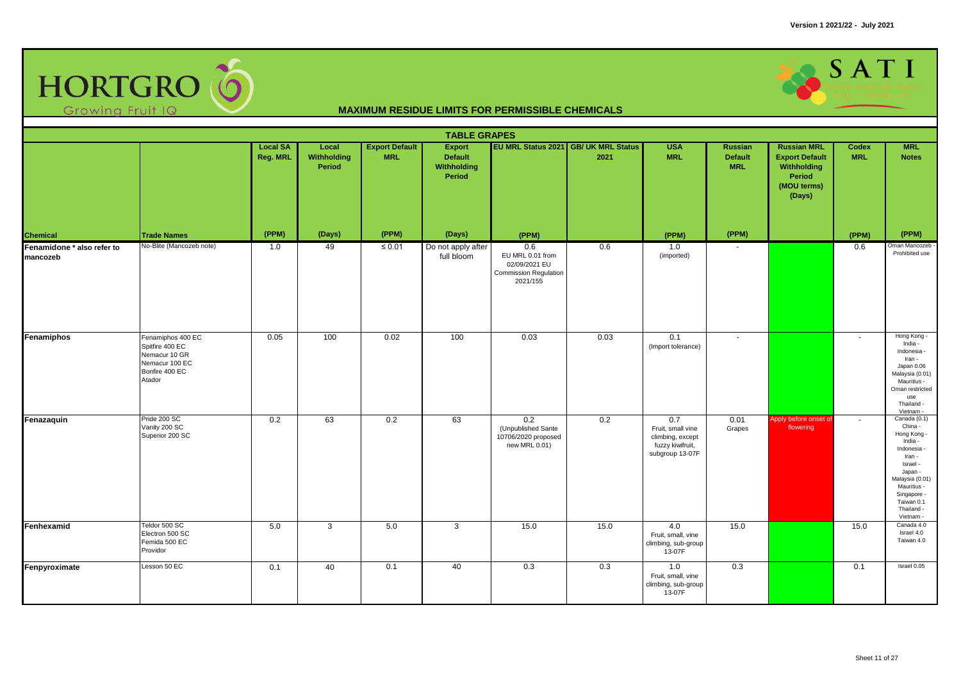

|                                        |                                                                                                     |                             |                                |                                     | <b>TABLE GRAPES</b>                                             |                                                                                      |                                              |                                                                                     |                                         |                                                                                               |                     |                                                                                                                                                                                             |
|----------------------------------------|-----------------------------------------------------------------------------------------------------|-----------------------------|--------------------------------|-------------------------------------|-----------------------------------------------------------------|--------------------------------------------------------------------------------------|----------------------------------------------|-------------------------------------------------------------------------------------|-----------------------------------------|-----------------------------------------------------------------------------------------------|---------------------|---------------------------------------------------------------------------------------------------------------------------------------------------------------------------------------------|
|                                        |                                                                                                     | <b>Local SA</b><br>Reg. MRL | Local<br>Withholding<br>Period | <b>Export Default</b><br><b>MRL</b> | <b>Export</b><br><b>Default</b><br><b>Withholding</b><br>Period |                                                                                      | EU MRL Status 2021 GB/ UK MRL Status<br>2021 | <b>USA</b><br><b>MRL</b>                                                            | Russian<br><b>Default</b><br><b>MRL</b> | <b>Russian MRL</b><br><b>Export Default</b><br>Withholding<br>Period<br>(MOU terms)<br>(Days) | Codex<br><b>MRL</b> | <b>MRL</b><br><b>Notes</b>                                                                                                                                                                  |
| <b>Chemical</b>                        | <b>Trade Names</b>                                                                                  | (PPM)                       | (Days)                         | (PPM)                               | (Days)                                                          | (PPM)                                                                                |                                              | (PPM)                                                                               | (PPM)                                   |                                                                                               | (PPM)               | (PPM)                                                                                                                                                                                       |
| Fenamidone * also refer to<br>mancozeb | No-Blite (Mancozeb note)                                                                            | 1.0                         | 49                             | $\leq 0.01$                         | Do not apply after<br>full bloom                                | 0.6<br>EU MRL 0.01 from<br>02/09/2021 EU<br><b>Commission Regulation</b><br>2021/155 | 0.6                                          | 1.0<br>(imported)                                                                   | $\sim$                                  |                                                                                               | 0.6                 | Oman Mancozeb -<br>Prohibited use                                                                                                                                                           |
| Fenamiphos                             | Fenamiphos 400 EC<br>Spitfire 400 EC<br>Nemacur 10 GR<br>Nemacur 100 EC<br>Bonfire 400 EC<br>Atador | 0.05                        | 100                            | 0.02                                | 100                                                             | 0.03                                                                                 | 0.03                                         | 0.1<br>(Import tolerance)                                                           | $\sim$                                  |                                                                                               | $\sim$              | Hong Kong -<br>India -<br>Indonesia -<br>Iran -<br>Japan 0.06<br>Malaysia (0.01)<br>Mauritius -<br>Oman restricted<br>use<br>Thailand -<br>Vietnam                                          |
| Fenazaquin                             | Pride 200 SC<br>Vanity 200 SC<br>Superior 200 SC                                                    | 0.2                         | 63                             | 0.2                                 | 63                                                              | 0.2<br>(Unpublished Sante<br>10706/2020 proposed<br>new MRL 0.01)                    | 0.2                                          | 0.7<br>Fruit, small vine<br>climbing, except<br>fuzzy kiwifruit,<br>subgroup 13-07F | 0.01<br>Grapes                          | Apply before onset of<br>flowering                                                            | $\sim$              | Canada (0.1)<br>China -<br>Hong Kong -<br>India -<br>Indonesia -<br>Iran -<br>Israel -<br>Japan -<br>Malaysia (0.01)<br>Mauritius -<br>Singapore -<br>Taiwan 0.1<br>Thailand -<br>Vietnam - |
| Fenhexamid                             | Teldor 500 SC<br>Electron 500 SC<br>Femida 500 EC<br>Providor                                       | 5.0                         | 3                              | 5.0                                 | 3                                                               | 15.0                                                                                 | 15.0                                         | 4.0<br>Fruit, small, vine<br>climbing, sub-group<br>13-07F                          | 15.0                                    |                                                                                               | 15.0                | Canada 4.0<br>Israel 4.0<br>Taiwan 4.0                                                                                                                                                      |
| Fenpyroximate                          | Lesson 50 EC                                                                                        | 0.1                         | 40                             | 0.1                                 | 40                                                              | 0.3                                                                                  | 0.3                                          | 1.0<br>Fruit, small, vine<br>climbing, sub-group<br>13-07F                          | 0.3                                     |                                                                                               | 0.1                 | Israel 0.05                                                                                                                                                                                 |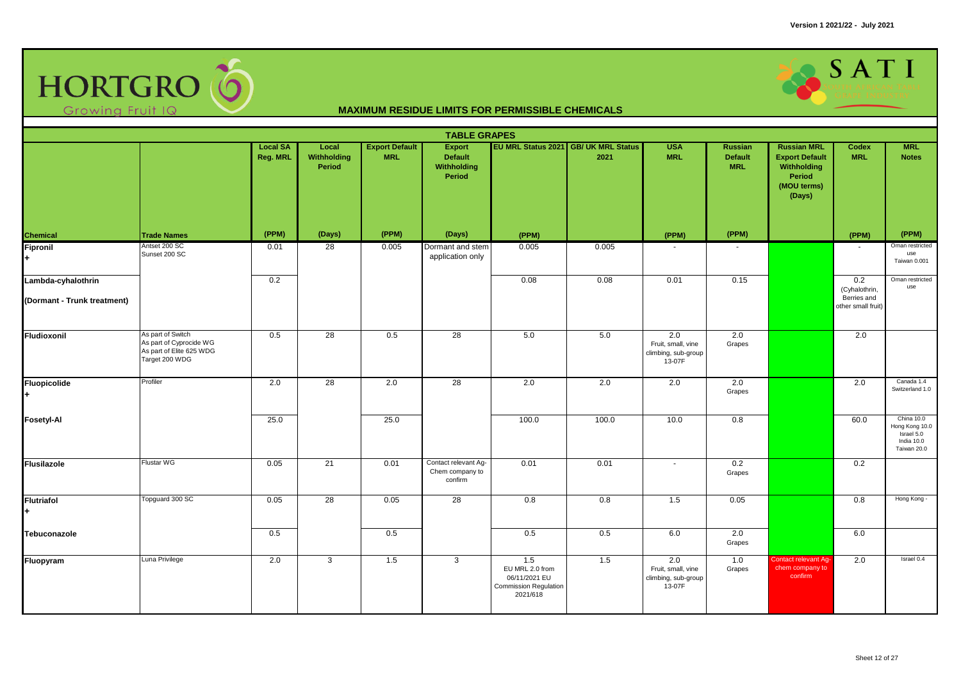

|                                                   | <b>TABLE GRAPES</b><br>EU MRL Status 2021 GB/ UK MRL Status<br><b>Local SA</b><br>Local<br><b>Export Default</b><br><b>Export</b><br><b>USA</b><br><b>Russian MRL</b><br><b>MRL</b><br><b>Russian</b><br>Codex |          |                       |            |                                                    |                                                                                     |       |                                                            |                              |                                                                         |                                                           |                                                                         |  |  |
|---------------------------------------------------|----------------------------------------------------------------------------------------------------------------------------------------------------------------------------------------------------------------|----------|-----------------------|------------|----------------------------------------------------|-------------------------------------------------------------------------------------|-------|------------------------------------------------------------|------------------------------|-------------------------------------------------------------------------|-----------------------------------------------------------|-------------------------------------------------------------------------|--|--|
|                                                   |                                                                                                                                                                                                                | Reg. MRL | Withholding<br>Period | <b>MRL</b> | <b>Default</b><br>Withholding<br>Period            |                                                                                     | 2021  | <b>MRL</b>                                                 | <b>Default</b><br><b>MRL</b> | <b>Export Default</b><br>Withholding<br>Period<br>(MOU terms)<br>(Days) | <b>MRL</b>                                                | <b>Notes</b>                                                            |  |  |
|                                                   | <b>Trade Names</b>                                                                                                                                                                                             | (PPM)    | (Days)                | (PPM)      | (Days)                                             | (PPM)                                                                               |       | (PPM)                                                      | (PPM)                        |                                                                         | (PPM)                                                     | (PPM)                                                                   |  |  |
| <b>Chemical</b><br>Fipronil<br>÷                  | Antset 200 SC<br>Sunset 200 SC                                                                                                                                                                                 | 0.01     | 28                    | 0.005      | Dormant and stem<br>application only               | 0.005                                                                               | 0.005 |                                                            |                              |                                                                         |                                                           | Oman restricted<br>use<br>Taiwan 0.001                                  |  |  |
| Lambda-cyhalothrin<br>(Dormant - Trunk treatment) |                                                                                                                                                                                                                | 0.2      |                       |            |                                                    | 0.08                                                                                | 0.08  | 0.01                                                       | 0.15                         |                                                                         | 0.2<br>(Cyhalothrin,<br>Berries and<br>other small fruit) | Oman restricted<br>use                                                  |  |  |
| <b>Fludioxonil</b>                                | As part of Switch<br>As part of Cyprocide WG<br>As part of Elite 625 WDG<br>Target 200 WDG                                                                                                                     | 0.5      | $\overline{28}$       | 0.5        | 28                                                 | 5.0                                                                                 | 5.0   | 2.0<br>Fruit, small, vine<br>climbing, sub-group<br>13-07F | 2.0<br>Grapes                |                                                                         | 2.0                                                       |                                                                         |  |  |
| Fluopicolide                                      | Profiler                                                                                                                                                                                                       | 2.0      | $\overline{28}$       | 2.0        | $\overline{28}$                                    | 2.0                                                                                 | 2.0   | 2.0                                                        | 2.0<br>Grapes                |                                                                         | 2.0                                                       | Canada 1.4<br>Switzerland 1.0                                           |  |  |
| <b>Fosetyl-Al</b>                                 |                                                                                                                                                                                                                | 25.0     |                       | 25.0       |                                                    | 100.0                                                                               | 100.0 | 10.0                                                       | 0.8                          |                                                                         | 60.0                                                      | China 10.0<br>Hong Kong 10.0<br>Israel 5.0<br>India 10.0<br>Taiwan 20.0 |  |  |
| <b>Flusilazole</b>                                | Flustar WG                                                                                                                                                                                                     | 0.05     | $\overline{21}$       | 0.01       | Contact relevant Ag-<br>Chem company to<br>confirm | 0.01                                                                                | 0.01  | $\blacksquare$                                             | 0.2<br>Grapes                |                                                                         | 0.2                                                       |                                                                         |  |  |
| <b>Flutriafol</b>                                 | Topguard 300 SC                                                                                                                                                                                                | 0.05     | 28                    | 0.05       | 28                                                 | 0.8                                                                                 | 0.8   | 1.5                                                        | 0.05                         |                                                                         | 0.8                                                       | Hong Kong -                                                             |  |  |
| Tebuconazole                                      |                                                                                                                                                                                                                | 0.5      |                       | 0.5        |                                                    | 0.5                                                                                 | 0.5   | 6.0                                                        | 2.0<br>Grapes                |                                                                         | 6.0                                                       |                                                                         |  |  |
| Fluopyram                                         | Luna Privilege                                                                                                                                                                                                 | 2.0      | $\mathbf{3}$          | 1.5        | 3                                                  | 1.5<br>EU MRL 2.0 from<br>06/11/2021 EU<br><b>Commission Regulation</b><br>2021/618 | 1.5   | 2.0<br>Fruit, small, vine<br>climbing, sub-group<br>13-07F | 1.0<br>Grapes                | Contact relevant Ag-<br>chem company to<br>confirm                      | 2.0                                                       | Israel 0.4                                                              |  |  |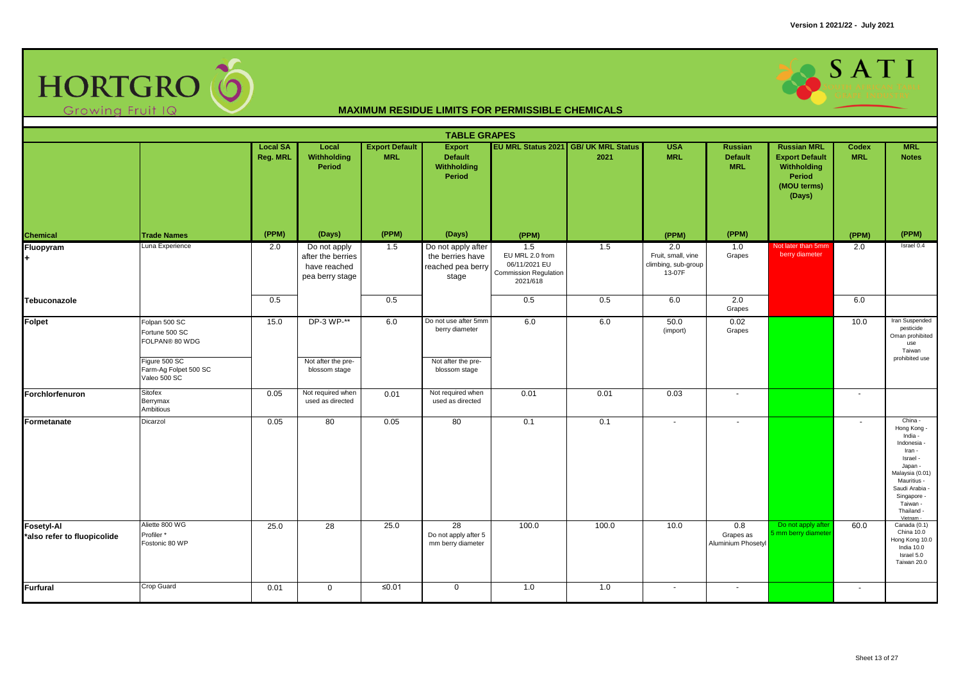

|                                                  | <b>TABLE GRAPES</b><br>EU MRL Status 2021 GB/ UK MRL Status<br><b>Export Default</b><br><b>USA</b><br><b>Russian MRL</b><br><b>MRL</b><br><b>Local SA</b><br>Local<br>Export<br><b>Russian</b><br>Codex |          |                                                                      |            |                                                                               |                                                                                     |       |                                                            |                                        |                                                                                |                |                                                                                                                                                                                           |  |  |
|--------------------------------------------------|---------------------------------------------------------------------------------------------------------------------------------------------------------------------------------------------------------|----------|----------------------------------------------------------------------|------------|-------------------------------------------------------------------------------|-------------------------------------------------------------------------------------|-------|------------------------------------------------------------|----------------------------------------|--------------------------------------------------------------------------------|----------------|-------------------------------------------------------------------------------------------------------------------------------------------------------------------------------------------|--|--|
|                                                  |                                                                                                                                                                                                         | Reg. MRL | Withholding<br>Period                                                | <b>MRL</b> | <b>Default</b><br><b>Withholding</b><br>Period                                |                                                                                     | 2021  | <b>MRL</b>                                                 | <b>Default</b><br><b>MRL</b>           | <b>Export Default</b><br>Withholding<br><b>Period</b><br>(MOU terms)<br>(Days) | <b>MRL</b>     | <b>Notes</b>                                                                                                                                                                              |  |  |
| Chemical                                         | <b>Trade Names</b>                                                                                                                                                                                      | (PPM)    | (Days)                                                               | (PPM)      | (Days)                                                                        | (PPM)                                                                               |       | (PPM)                                                      | (PPM)                                  |                                                                                | (PPM)          | (PPM)                                                                                                                                                                                     |  |  |
| Fluopyram                                        | Luna Experience                                                                                                                                                                                         | 2.0      | Do not apply<br>after the berries<br>have reached<br>pea berry stage | 1.5        | Do not apply after<br>the berries have<br>reached pea berry<br>stage          | 1.5<br>EU MRL 2.0 from<br>06/11/2021 EU<br><b>Commission Regulation</b><br>2021/618 | 1.5   | 2.0<br>Fruit, small, vine<br>climbing, sub-group<br>13-07F | 1.0<br>Grapes                          | Not later than 5mm<br>berry diameter                                           | 2.0            | Israel 0.4                                                                                                                                                                                |  |  |
| Tebuconazole                                     |                                                                                                                                                                                                         | 0.5      |                                                                      | 0.5        |                                                                               | 0.5                                                                                 | 0.5   | 6.0                                                        | 2.0<br>Grapes                          |                                                                                | 6.0            |                                                                                                                                                                                           |  |  |
| Folpet                                           | Folpan 500 SC<br>Fortune 500 SC<br>FOLPAN® 80 WDG<br>Figure 500 SC<br>Farm-Ag Folpet 500 SC<br>Valeo 500 SC                                                                                             | 15.0     | DP-3 WP-**<br>Not after the pre-<br>blossom stage                    | 6.0        | Do not use after 5mm<br>berry diameter<br>Not after the pre-<br>blossom stage | 6.0                                                                                 | 6.0   | 50.0<br>(import)                                           | 0.02<br>Grapes                         |                                                                                | 10.0           | Iran Suspended<br>pesticide<br>Oman prohibited<br>use<br>Taiwan<br>prohibited use                                                                                                         |  |  |
| Forchlorfenuron                                  | Sitofex<br>Berrymax<br>Ambitious                                                                                                                                                                        | 0.05     | Not required when<br>used as directed                                | 0.01       | Not required when<br>used as directed                                         | 0.01                                                                                | 0.01  | 0.03                                                       | $\sim$                                 |                                                                                | $\sim$         |                                                                                                                                                                                           |  |  |
| Formetanate                                      | Dicarzol                                                                                                                                                                                                | 0.05     | 80                                                                   | 0.05       | 80                                                                            | 0.1                                                                                 | 0.1   | $\blacksquare$                                             |                                        |                                                                                | $\blacksquare$ | China -<br>Hong Kong -<br>India -<br>Indonesia -<br>Iran -<br>Israel -<br>Japan -<br>Malaysia (0.01)<br>Mauritius -<br>Saudi Arabia<br>Singapore -<br>Taiwan -<br>Thailand -<br>Vietnam - |  |  |
| <b>Fosetyl-Al</b><br>*also refer to fluopicolide | Aliette 800 WG<br>Profiler*<br>Fostonic 80 WP                                                                                                                                                           | 25.0     | $\overline{28}$                                                      | 25.0       | $\overline{28}$<br>Do not apply after 5<br>mm berry diameter                  | 100.0                                                                               | 100.0 | 10.0                                                       | 0.8<br>Grapes as<br>Aluminium Phosetyl | Do not apply afte<br>5 mm berry diamete                                        | 60.0           | Canada (0.1)<br>China 10.0<br>Hong Kong 10.0<br>India 10.0<br>Israel 5.0<br>Taiwan 20.0                                                                                                   |  |  |
| Furfural                                         | Crop Guard                                                                                                                                                                                              | 0.01     | $\mathbf 0$                                                          | ≤ $0.01$   | $\mathbf 0$                                                                   | 1.0                                                                                 | 1.0   | $\blacksquare$                                             | $\sim$                                 |                                                                                | $\sim$         |                                                                                                                                                                                           |  |  |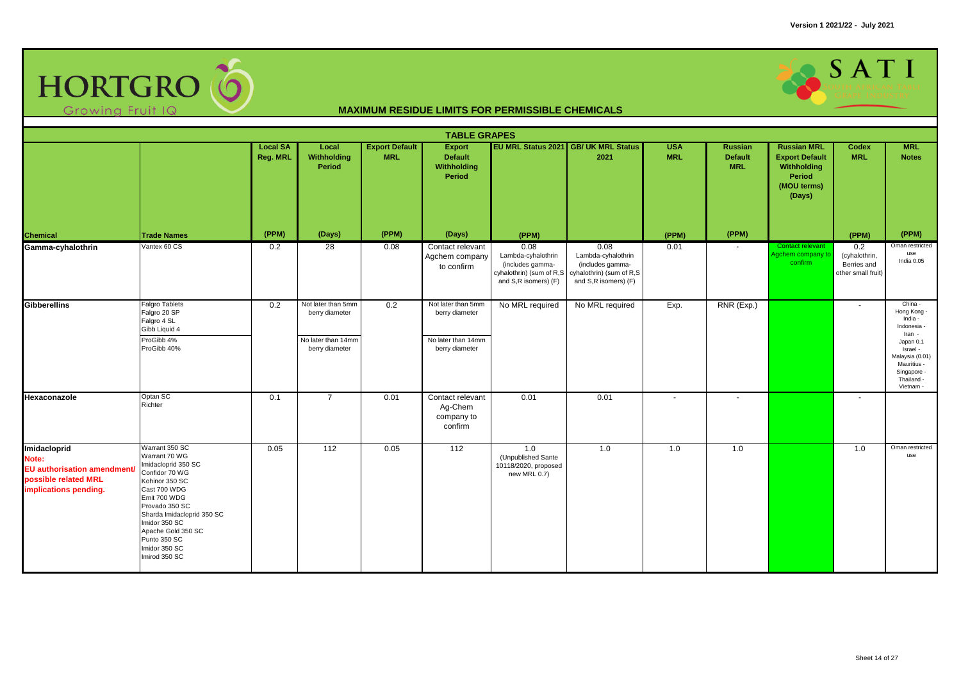

|                                                                                                       |                                                                                                                                                                                                                                                                     |                             |                                                                              |                                     | <b>TABLE GRAPES</b>                                                          |                                                                                                    |                                                                                                    |                          |                                         |                                                                                               |                                                           |                                                                                                                                                                 |
|-------------------------------------------------------------------------------------------------------|---------------------------------------------------------------------------------------------------------------------------------------------------------------------------------------------------------------------------------------------------------------------|-----------------------------|------------------------------------------------------------------------------|-------------------------------------|------------------------------------------------------------------------------|----------------------------------------------------------------------------------------------------|----------------------------------------------------------------------------------------------------|--------------------------|-----------------------------------------|-----------------------------------------------------------------------------------------------|-----------------------------------------------------------|-----------------------------------------------------------------------------------------------------------------------------------------------------------------|
|                                                                                                       |                                                                                                                                                                                                                                                                     | <b>Local SA</b><br>Reg. MRL | Local<br>Withholding<br><b>Period</b>                                        | <b>Export Default</b><br><b>MRL</b> | Export<br><b>Default</b><br>Withholding<br>Period                            |                                                                                                    | EU MRL Status 2021 GB/ UK MRL Status<br>2021                                                       | <b>USA</b><br><b>MRL</b> | Russian<br><b>Default</b><br><b>MRL</b> | <b>Russian MRL</b><br><b>Export Default</b><br>Withholding<br>Period<br>(MOU terms)<br>(Days) | Codex<br><b>MRL</b>                                       | <b>MRL</b><br><b>Notes</b>                                                                                                                                      |
| <b>Chemical</b>                                                                                       | <b>Trade Names</b>                                                                                                                                                                                                                                                  | (PPM)                       | (Days)                                                                       | (PPM)                               | (Days)                                                                       | (PPM)                                                                                              |                                                                                                    | (PPM)                    | (PPM)                                   |                                                                                               | (PPM)                                                     | (PPM)                                                                                                                                                           |
| Gamma-cyhalothrin                                                                                     | Vantex 60 CS                                                                                                                                                                                                                                                        | 0.2                         | 28                                                                           | 0.08                                | Contact relevant<br>Agchem company<br>to confirm                             | 0.08<br>Lambda-cyhalothrin<br>(includes gamma-<br>cyhalothrin) (sum of R,S<br>and S,R isomers) (F) | 0.08<br>Lambda-cyhalothrin<br>(includes gamma-<br>cyhalothrin) (sum of R,S<br>and S,R isomers) (F) | 0.01                     | $\overline{\phantom{a}}$                | Contact relevant<br>Agchem company to<br>confirm                                              | 0.2<br>(cyhalothrin,<br>Berries and<br>other small fruit) | Oman restricted<br>use<br>India 0.05                                                                                                                            |
| <b>Gibberellins</b>                                                                                   | <b>Falgro Tablets</b><br>Falgro 20 SP<br>Falgro 4 SL<br>Gibb Liquid 4<br>ProGibb 4%<br>ProGibb 40%                                                                                                                                                                  | 0.2                         | Not later than 5mm<br>berry diameter<br>No later than 14mm<br>berry diameter | 0.2                                 | Not later than 5mm<br>berry diameter<br>No later than 14mm<br>berry diameter | No MRL required                                                                                    | No MRL required                                                                                    | Exp.                     | RNR (Exp.)                              |                                                                                               | $\sim$                                                    | China -<br>Hong Kong -<br>India -<br>Indonesia -<br>Iran -<br>Japan 0.1<br>Israel -<br>Malaysia (0.01)<br>Mauritius -<br>Singapore -<br>Thailand -<br>Vietnam - |
| Hexaconazole                                                                                          | Optan SC<br>Richter                                                                                                                                                                                                                                                 | 0.1                         | $\overline{7}$                                                               | 0.01                                | Contact relevant<br>Ag-Chem<br>company to<br>confirm                         | 0.01                                                                                               | 0.01                                                                                               | $\blacksquare$           | $\blacksquare$                          |                                                                                               | $\blacksquare$                                            |                                                                                                                                                                 |
| Imidacloprid<br>Note:<br>EU authorisation amendment/<br>possible related MRL<br>implications pending. | Warrant 350 SC<br>Warrant 70 WG<br>Imidacloprid 350 SC<br>Confidor 70 WG<br>Kohinor 350 SC<br>Cast 700 WDG<br>Emit 700 WDG<br>Provado 350 SC<br>Sharda Imidacloprid 350 SC<br>Imidor 350 SC<br>Apache Gold 350 SC<br>Punto 350 SC<br>Imidor 350 SC<br>Imirod 350 SC | 0.05                        | 112                                                                          | 0.05                                | $\overline{112}$                                                             | 1.0<br>(Unpublished Sante<br>10118/2020, proposed<br>new MRL 0.7)                                  | 1.0                                                                                                | 1.0                      | 1.0                                     |                                                                                               | 1.0                                                       | Oman restricted<br>use                                                                                                                                          |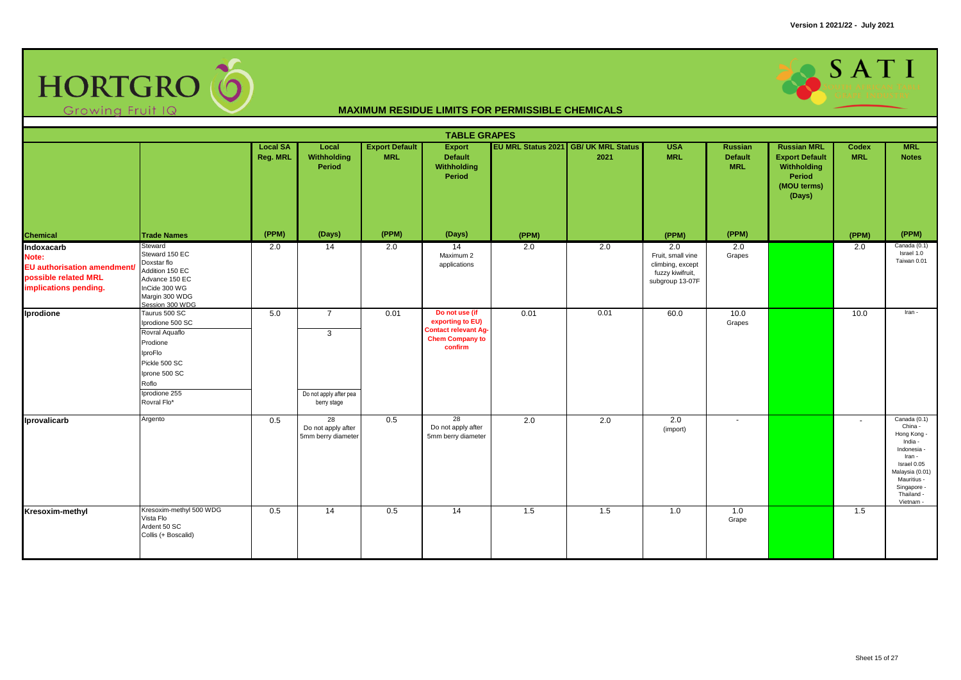

|                                                                                                     |                                                                                                                                                       |                             |                                                              |                                     | <b>TABLE GRAPES</b>                                                                                    |       |                                              |                                                                                     |                                                |                                                                                               |                     |                                                                                                                                                                       |
|-----------------------------------------------------------------------------------------------------|-------------------------------------------------------------------------------------------------------------------------------------------------------|-----------------------------|--------------------------------------------------------------|-------------------------------------|--------------------------------------------------------------------------------------------------------|-------|----------------------------------------------|-------------------------------------------------------------------------------------|------------------------------------------------|-----------------------------------------------------------------------------------------------|---------------------|-----------------------------------------------------------------------------------------------------------------------------------------------------------------------|
|                                                                                                     |                                                                                                                                                       | <b>Local SA</b><br>Reg. MRL | Local<br>Withholding<br>Period                               | <b>Export Default</b><br><b>MRL</b> | <b>Export</b><br>Default<br>Withholding<br>Period                                                      |       | EU MRL Status 2021 GB/ UK MRL Status<br>2021 | <b>USA</b><br><b>MRL</b>                                                            | <b>Russian</b><br><b>Default</b><br><b>MRL</b> | <b>Russian MRL</b><br><b>Export Default</b><br>Withholding<br>Period<br>(MOU terms)<br>(Days) | Codex<br><b>MRL</b> | <b>MRL</b><br><b>Notes</b>                                                                                                                                            |
| <b>Chemical</b>                                                                                     | <b>Trade Names</b>                                                                                                                                    | (PPM)                       | (Days)                                                       | (PPM)                               | (Days)                                                                                                 | (PPM) |                                              | (PPM)                                                                               | (PPM)                                          |                                                                                               | (PPM)               | (PPM)                                                                                                                                                                 |
| Indoxacarb<br>Note:<br>EU authorisation amendment/<br>possible related MRL<br>implications pending. | Steward<br>Steward 150 EC<br>Doxstar flo<br>Addition 150 EC<br>Advance 150 EC<br>InCide 300 WG<br>Margin 300 WDG<br>Session 300 WDG                   | 2.0                         | 14                                                           | 2.0                                 | 14<br>Maximum 2<br>applications                                                                        | 2.0   | 2.0                                          | 2.0<br>Fruit, small vine<br>climbing, except<br>fuzzy kiwifruit,<br>subgroup 13-07F | 2.0<br>Grapes                                  |                                                                                               | 2.0                 | Canada (0.1)<br>Israel 1.0<br>Taiwan 0.01                                                                                                                             |
| Iprodione                                                                                           | Taurus 500 SC<br>Iprodione 500 SC<br>Rovral Aquaflo<br>Prodione<br>IproFlo<br>Pickle 500 SC<br>Iprone 500 SC<br>Roflo<br>Iprodione 255<br>Rovral Flo* | 5.0                         | $\overline{7}$<br>3<br>Do not apply after pea<br>berry stage | 0.01                                | Do not use (if<br>exporting to EU)<br><b>Contact relevant Ag-</b><br><b>Chem Company to</b><br>confirm | 0.01  | 0.01                                         | 60.0                                                                                | 10.0<br>Grapes                                 |                                                                                               | 10.0                | Iran -                                                                                                                                                                |
| Iprovalicarb                                                                                        | Argento                                                                                                                                               | 0.5                         | 28<br>Do not apply after<br>5mm berry diameter               | 0.5                                 | 28<br>Do not apply after<br>5mm berry diameter                                                         | 2.0   | 2.0                                          | 2.0<br>(import)                                                                     | $\blacksquare$                                 |                                                                                               | $\sim$              | Canada (0.1)<br>China -<br>Hong Kong -<br>India -<br>Indonesia -<br>Iran -<br>Israel 0.05<br>Malaysia (0.01)<br>Mauritius -<br>Singapore -<br>Thailand -<br>Vietnam - |
| Kresoxim-methyl                                                                                     | Kresoxim-methyl 500 WDG<br>Vista Flo<br>Ardent 50 SC<br>Collis (+ Boscalid)                                                                           | 0.5                         | 14                                                           | 0.5                                 | 14                                                                                                     | 1.5   | 1.5                                          | 1.0                                                                                 | 1.0<br>Grape                                   |                                                                                               | 1.5                 |                                                                                                                                                                       |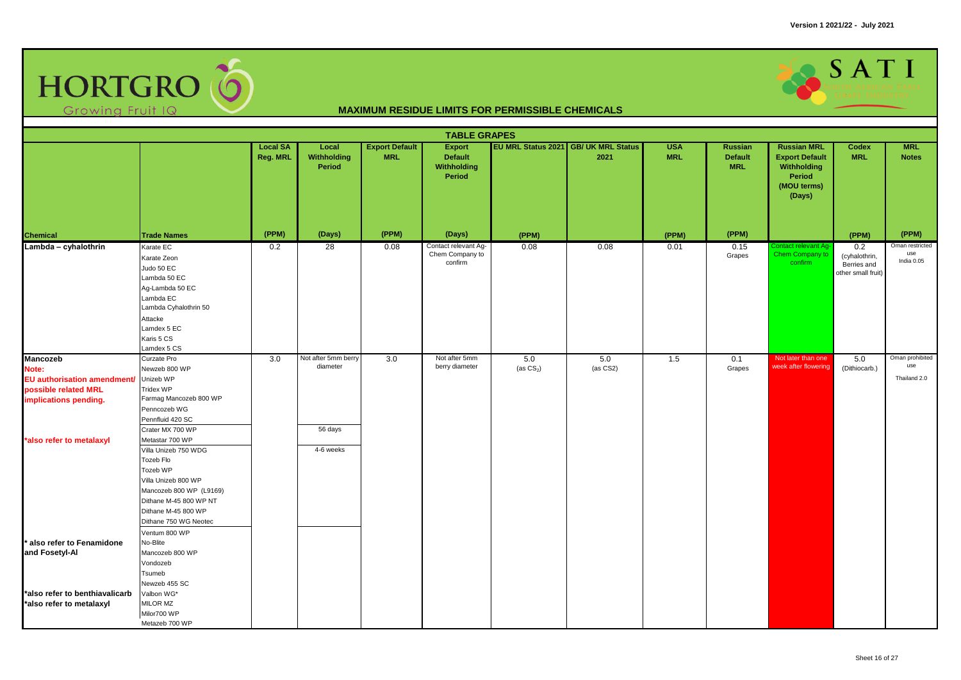

|                                                                                                                                      |                                                                                                                                                                                                        |                             |                                            |                                     | <b>TABLE GRAPES</b>                                      |                     |                                              |                          |                                                |                                                                                                      |                                                           |                                        |
|--------------------------------------------------------------------------------------------------------------------------------------|--------------------------------------------------------------------------------------------------------------------------------------------------------------------------------------------------------|-----------------------------|--------------------------------------------|-------------------------------------|----------------------------------------------------------|---------------------|----------------------------------------------|--------------------------|------------------------------------------------|------------------------------------------------------------------------------------------------------|-----------------------------------------------------------|----------------------------------------|
|                                                                                                                                      |                                                                                                                                                                                                        | <b>Local SA</b><br>Reg. MRL | Local<br>Withholding<br>Period             | <b>Export Default</b><br><b>MRL</b> | <b>Export</b><br><b>Default</b><br>Withholding<br>Period |                     | EU MRL Status 2021 GB/ UK MRL Status<br>2021 | <b>USA</b><br><b>MRL</b> | <b>Russian</b><br><b>Default</b><br><b>MRL</b> | <b>Russian MRL</b><br><b>Export Default</b><br>Withholding<br><b>Period</b><br>(MOU terms)<br>(Days) | Codex<br><b>MRL</b>                                       | <b>MRL</b><br><b>Notes</b>             |
| <b>Chemical</b>                                                                                                                      | <b>Trade Names</b>                                                                                                                                                                                     | (PPM)                       | (Days)                                     | (PPM)                               | (Days)                                                   | (PPM)               |                                              | (PPM)                    | (PPM)                                          |                                                                                                      | (PPM)                                                     | (PPM)                                  |
| Lambda - cyhalothrin                                                                                                                 | Karate EC<br>Karate Zeon<br>Judo 50 EC<br>Lambda 50 EC<br>Ag-Lambda 50 EC<br>Lambda EC<br>Lambda Cyhalothrin 50<br>Attacke<br>Lamdex 5 EC<br>Karis 5 CS<br>Lamdex 5 CS                                 | 0.2                         | $\overline{28}$                            | 0.08                                | Contact relevant Ag-<br>Chem Company to<br>confirm       | 0.08                | 0.08                                         | 0.01                     | 0.15<br>Grapes                                 | ontact relevant Ag<br>Chem Company to<br>confirm                                                     | 0.2<br>(cyhalothrin,<br>Berries and<br>other small fruit) | Oman restricted<br>use<br>India 0.05   |
| <b>Mancozeb</b><br>Note:<br>EU authorisation amendment/<br>possible related MRL<br>implications pending.<br>*also refer to metalaxyl | Curzate Pro<br>Newzeb 800 WP<br>Unizeb WP<br>Tridex WP<br>Farmag Mancozeb 800 WP<br>Penncozeb WG<br>Pennfluid 420 SC<br>Crater MX 700 WP<br>Metastar 700 WP                                            | 3.0                         | Not after 5mm berry<br>diameter<br>56 days | 3.0                                 | Not after 5mm<br>berry diameter                          | 5.0<br>(as $CS_2$ ) | 5.0<br>$(as CS2)$                            | 1.5                      | 0.1<br>Grapes                                  | Not later than one<br>week after flowering                                                           | 5.0<br>(Dithiocarb.)                                      | Oman prohibited<br>use<br>Thailand 2.0 |
| * also refer to Fenamidone                                                                                                           | Villa Unizeb 750 WDG<br>Tozeb Flo<br>Tozeb WP<br>Villa Unizeb 800 WP<br>Mancozeb 800 WP (L9169)<br>Dithane M-45 800 WP NT<br>Dithane M-45 800 WP<br>Dithane 750 WG Neotec<br>Ventum 800 WP<br>No-Blite |                             | 4-6 weeks                                  |                                     |                                                          |                     |                                              |                          |                                                |                                                                                                      |                                                           |                                        |
| and Fosetyl-Al<br>*also refer to benthiavalicarb<br>*also refer to metalaxyl                                                         | Mancozeb 800 WP<br>Vondozeb<br>Tsumeb<br>Newzeb 455 SC<br>Valbon WG*<br>MILOR MZ                                                                                                                       |                             |                                            |                                     |                                                          |                     |                                              |                          |                                                |                                                                                                      |                                                           |                                        |
|                                                                                                                                      | Milor700 WP<br>Metazeb 700 WP                                                                                                                                                                          |                             |                                            |                                     |                                                          |                     |                                              |                          |                                                |                                                                                                      |                                                           |                                        |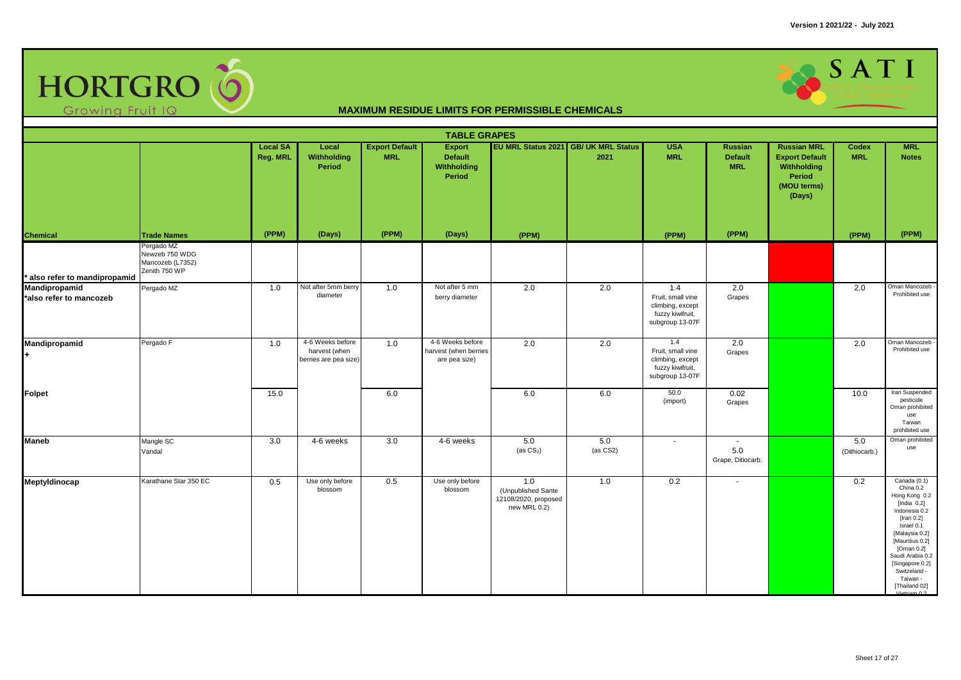

|                                          |                                                                   |                             |                                                            |                                     | <b>TABLE GRAPES</b>                                        |                                                                   |                                              |                                                                                     |                                                |                                                                                                      |                      |                                                                                                                                                                                                                                                        |
|------------------------------------------|-------------------------------------------------------------------|-----------------------------|------------------------------------------------------------|-------------------------------------|------------------------------------------------------------|-------------------------------------------------------------------|----------------------------------------------|-------------------------------------------------------------------------------------|------------------------------------------------|------------------------------------------------------------------------------------------------------|----------------------|--------------------------------------------------------------------------------------------------------------------------------------------------------------------------------------------------------------------------------------------------------|
|                                          |                                                                   | <b>Local SA</b><br>Reg. MRL | Local<br>Withholding<br>Period                             | <b>Export Default</b><br><b>MRL</b> | <b>Export</b><br><b>Default</b><br>Withholding<br>Period   |                                                                   | EU MRL Status 2021 GB/ UK MRL Status<br>2021 | <b>USA</b><br><b>MRL</b>                                                            | <b>Russian</b><br><b>Default</b><br><b>MRL</b> | <b>Russian MRL</b><br><b>Export Default</b><br>Withholding<br><b>Period</b><br>(MOU terms)<br>(Days) | Codex<br><b>MRL</b>  | <b>MRL</b><br><b>Notes</b>                                                                                                                                                                                                                             |
| <b>Chemical</b>                          | <b>Trade Names</b>                                                | (PPM)                       | (Days)                                                     | (PPM)                               | (Days)                                                     | (PPM)                                                             |                                              | (PPM)                                                                               | (PPM)                                          |                                                                                                      | (PPM)                | (PPM)                                                                                                                                                                                                                                                  |
| * also refer to mandipropamid            | Pergado MZ<br>Newzeb 750 WDG<br>Mancozeb (L7352)<br>Zenith 750 WP |                             |                                                            |                                     |                                                            |                                                                   |                                              |                                                                                     |                                                |                                                                                                      |                      |                                                                                                                                                                                                                                                        |
| Mandipropamid<br>*also refer to mancozeb | Pergado MZ                                                        | 1.0                         | Not after 5mm berry<br>diameter                            | 1.0                                 | Not after 5 mm<br>berry diameter                           | 2.0                                                               | 2.0                                          | 1.4<br>Fruit, small vine<br>climbing, except<br>fuzzy kiwifruit,<br>subgroup 13-07F | 2.0<br>Grapes                                  |                                                                                                      | 2.0                  | Oman Mancozeb -<br>Prohibited use                                                                                                                                                                                                                      |
| Mandipropamid<br>÷.                      | Pergado F                                                         | 1.0                         | 4-6 Weeks before<br>harvest (when<br>berries are pea size) | 1.0                                 | 4-6 Weeks before<br>harvest (when berries<br>are pea size) | 2.0                                                               | 2.0                                          | 1.4<br>Fruit, small vine<br>climbing, except<br>fuzzy kiwifruit,<br>subgroup 13-07F | 2.0<br>Grapes                                  |                                                                                                      | 2.0                  | Oman Mancozeb -<br>Prohibited use                                                                                                                                                                                                                      |
| <b>Folpet</b>                            |                                                                   | 15.0                        |                                                            | 6.0                                 |                                                            | 6.0                                                               | 6.0                                          | 50.0<br>(import)                                                                    | 0.02<br>Grapes                                 |                                                                                                      | 10.0                 | Iran Suspended<br>pesticide<br>Oman prohibited<br>use<br>Taiwan<br>prohibited use                                                                                                                                                                      |
| <b>Maneb</b>                             | Mangle SC<br>Vandal                                               | 3.0                         | 4-6 weeks                                                  | 3.0                                 | 4-6 weeks                                                  | 5.0<br>(as $CS_2$ )                                               | 5.0<br>(as CS2)                              | $\overline{\phantom{a}}$                                                            | 5.0<br>Grape, Ditiocarb.                       |                                                                                                      | 5.0<br>(Dithiocarb.) | Oman prohibited<br>use                                                                                                                                                                                                                                 |
| Meptyldinocap                            | Karathane Star 350 EC                                             | 0.5                         | Use only before<br>blossom                                 | 0.5                                 | Use only before<br>blossom                                 | 1.0<br>(Unpublished Sante<br>12108/2020, proposed<br>new MRL 0.2) | 1.0                                          | 0.2                                                                                 | $\sim$                                         |                                                                                                      | 0.2                  | Canada (0.1)<br>China 0.2<br>Hong Kong 0.2<br>[India $0.2$ ]<br>Indonesia 0.2<br>[Iran $0.2$ ]<br>Israel 0.1<br>[Malaysia 0.2]<br>[Mauritius 0.2]<br>[Oman $0.2$ ]<br>Saudi Arabia 0.2<br>[Singapore 0.2]<br>Switzeland -<br>Taiwan -<br>[Thailand 02] |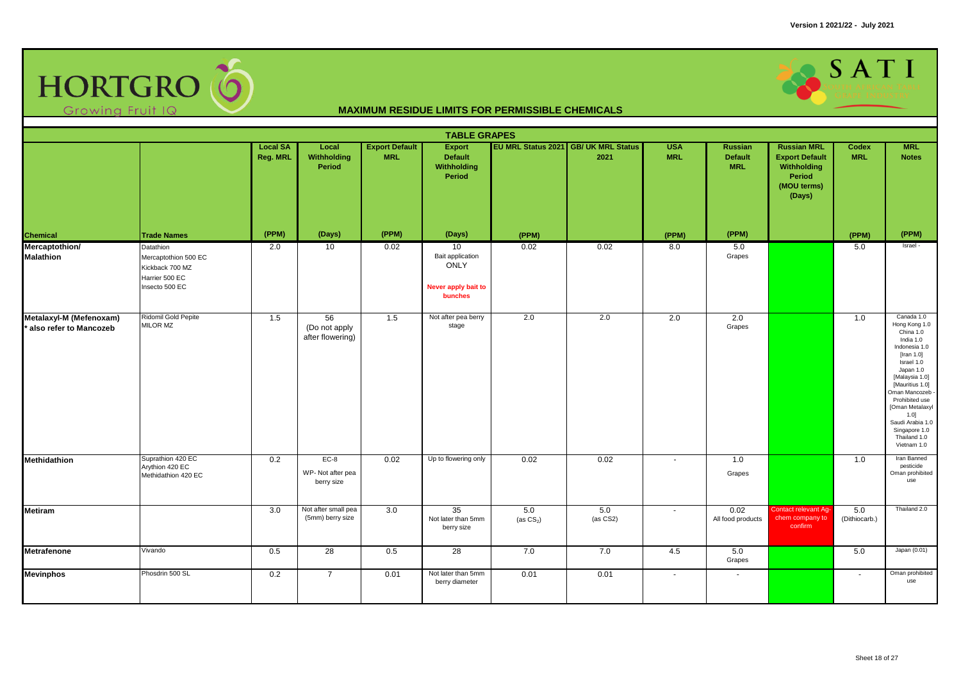

|                                                     |                                                                                          |                             |                                          |                                     | <b>TABLE GRAPES</b>                                                     |                     |                                              |                          |                                         |                                                                                               |                      |                                                                                                                                                                                                                                                                                           |
|-----------------------------------------------------|------------------------------------------------------------------------------------------|-----------------------------|------------------------------------------|-------------------------------------|-------------------------------------------------------------------------|---------------------|----------------------------------------------|--------------------------|-----------------------------------------|-----------------------------------------------------------------------------------------------|----------------------|-------------------------------------------------------------------------------------------------------------------------------------------------------------------------------------------------------------------------------------------------------------------------------------------|
|                                                     |                                                                                          | <b>Local SA</b><br>Reg. MRL | Local<br>Withholding<br>Period           | <b>Export Default</b><br><b>MRL</b> | <b>Export</b><br><b>Default</b><br>Withholding<br>Period                |                     | EU MRL Status 2021 GB/ UK MRL Status<br>2021 | <b>USA</b><br><b>MRL</b> | Russian<br><b>Default</b><br><b>MRL</b> | <b>Russian MRL</b><br><b>Export Default</b><br>Withholding<br>Period<br>(MOU terms)<br>(Days) | Codex<br><b>MRL</b>  | <b>MRL</b><br><b>Notes</b>                                                                                                                                                                                                                                                                |
| Chemical                                            | <b>Trade Names</b>                                                                       | (PPM)                       | (Days)                                   | (PPM)                               | (Days)                                                                  | (PPM)               |                                              | (PPM)                    | (PPM)                                   |                                                                                               | (PPM)                | (PPM)                                                                                                                                                                                                                                                                                     |
| Mercaptothion/<br><b>Malathion</b>                  | Datathion<br>Mercaptothion 500 EC<br>Kickback 700 MZ<br>Harrier 500 EC<br>Insecto 500 EC | 2.0                         | 10                                       | 0.02                                | 10<br>Bait application<br><b>ONLY</b><br>Never apply bait to<br>bunches | 0.02                | 0.02                                         | 8.0                      | 5.0<br>Grapes                           |                                                                                               | 5.0                  | Israel -                                                                                                                                                                                                                                                                                  |
| Metalaxyl-M (Mefenoxam)<br>* also refer to Mancozeb | Ridomil Gold Pepite<br>MILOR MZ                                                          | 1.5                         | 56<br>(Do not apply<br>after flowering)  | 1.5                                 | Not after pea berry<br>stage                                            | 2.0                 | 2.0                                          | 2.0                      | 2.0<br>Grapes                           |                                                                                               | 1.0                  | Canada 1.0<br>Hong Kong 1.0<br>China 1.0<br>India 1.0<br>Indonesia 1.0<br>[Iran $1.0$ ]<br>Israel 1.0<br>Japan 1.0<br>[Malaysia 1.0]<br>[Mauritius 1.0]<br>Oman Mancozeb<br>Prohibited use<br>[Oman Metalaxyl<br>1.0]<br>Saudi Arabia 1.0<br>Singapore 1.0<br>Thailand 1.0<br>Vietnam 1.0 |
| Methidathion                                        | Suprathion 420 EC<br>Arythion 420 EC<br>Methidathion 420 EC                              | 0.2                         | $EC-8$<br>WP-Not after pea<br>berry size | 0.02                                | Up to flowering only                                                    | 0.02                | 0.02                                         | $\overline{\phantom{a}}$ | 1.0<br>Grapes                           |                                                                                               | 1.0                  | Iran Banned<br>pesticide<br>Oman prohibited<br>use                                                                                                                                                                                                                                        |
| <b>Metiram</b>                                      |                                                                                          | 3.0                         | Not after small pea<br>(5mm) berry size  | 3.0                                 | 35<br>Not later than 5mm<br>berry size                                  | 5.0<br>(as $CS_2$ ) | 5.0<br>(as CS2)                              | $\sim$                   | 0.02<br>All food products               | Contact relevant Ag-<br>chem company to<br>confirm                                            | 5.0<br>(Dithiocarb.) | Thailand 2.0                                                                                                                                                                                                                                                                              |
| <b>Metrafenone</b>                                  | Vivando                                                                                  | 0.5                         | 28                                       | 0.5                                 | 28                                                                      | 7.0                 | 7.0                                          | 4.5                      | 5.0<br>Grapes                           |                                                                                               | 5.0                  | Japan (0.01)                                                                                                                                                                                                                                                                              |
| <b>Mevinphos</b>                                    | Phosdrin 500 SL                                                                          | 0.2                         | $\overline{7}$                           | 0.01                                | Not later than 5mm<br>berry diameter                                    | 0.01                | 0.01                                         | $\sim$                   | $\sim$                                  |                                                                                               | $\sim$               | Oman prohibited<br>use                                                                                                                                                                                                                                                                    |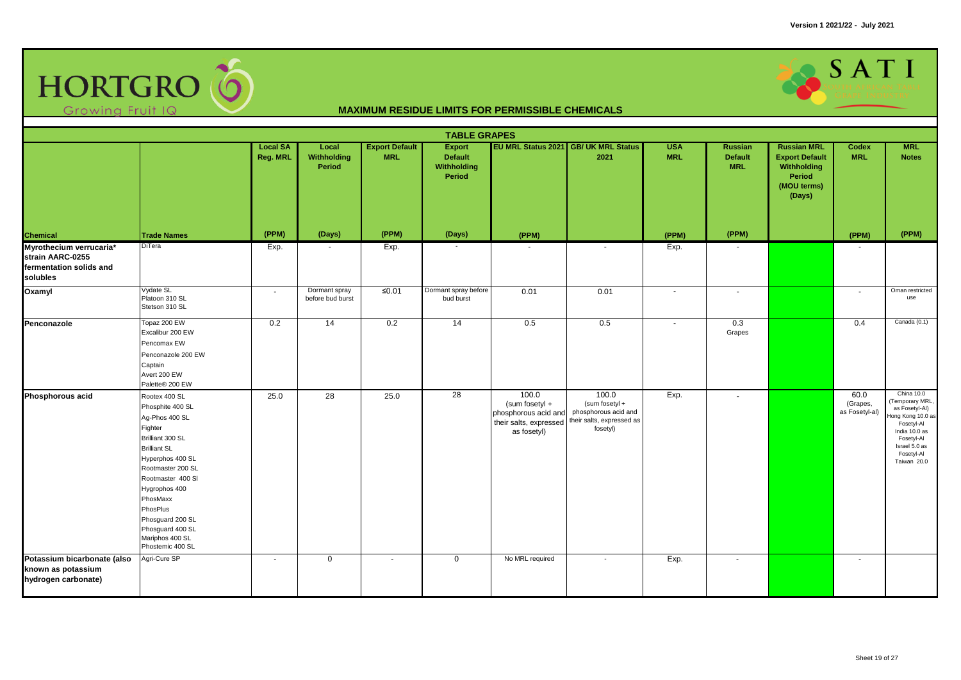

|                                                                                    | <b>TABLE GRAPES</b><br>EU MRL Status 2021 GB/ UK MRL Status<br><b>Local SA</b><br><b>Export Default</b><br><b>Export</b><br><b>USA</b><br><b>Russian MRL</b><br><b>MRL</b><br>Local<br>Russian<br><b>Codex</b>                                                                                  |          |                                   |            |                                         |                                                                                          |                                                                                          |            |                              |                                                                         |                                    |                                                                                                                                                                 |  |  |
|------------------------------------------------------------------------------------|-------------------------------------------------------------------------------------------------------------------------------------------------------------------------------------------------------------------------------------------------------------------------------------------------|----------|-----------------------------------|------------|-----------------------------------------|------------------------------------------------------------------------------------------|------------------------------------------------------------------------------------------|------------|------------------------------|-------------------------------------------------------------------------|------------------------------------|-----------------------------------------------------------------------------------------------------------------------------------------------------------------|--|--|
|                                                                                    |                                                                                                                                                                                                                                                                                                 | Reg. MRL | Withholding<br>Period             | <b>MRL</b> | <b>Default</b><br>Withholding<br>Period |                                                                                          | 2021                                                                                     | <b>MRL</b> | <b>Default</b><br><b>MRL</b> | <b>Export Default</b><br>Withholding<br>Period<br>(MOU terms)<br>(Days) | <b>MRL</b>                         | <b>Notes</b>                                                                                                                                                    |  |  |
| Chemical                                                                           | <b>Trade Names</b>                                                                                                                                                                                                                                                                              | (PPM)    | (Days)                            | (PPM)      | (Days)                                  | (PPM)                                                                                    |                                                                                          | (PPM)      | (PPM)                        |                                                                         | (PPM)                              | (PPM)                                                                                                                                                           |  |  |
| Myrothecium verrucaria*<br>strain AARC-0255<br>fermentation solids and<br>solubles | DiTera                                                                                                                                                                                                                                                                                          | Exp.     | $\sim$                            | Exp.       | $\sim$                                  |                                                                                          | $\overline{a}$                                                                           | Exp.       | $\sim$                       |                                                                         |                                    |                                                                                                                                                                 |  |  |
| Oxamyl                                                                             | Vydate SL<br>Platoon 310 SL<br>Stetson 310 SL                                                                                                                                                                                                                                                   | $\sim$   | Dormant spray<br>before bud burst | $≤0.01$    | Dormant spray before<br>bud burst       | 0.01                                                                                     | 0.01                                                                                     | $\sim$     | $\sim$                       |                                                                         | $\sim$                             | Oman restricted<br>use                                                                                                                                          |  |  |
| Penconazole                                                                        | Topaz 200 EW<br>Excalibur 200 EW<br>Pencomax EW<br>Penconazole 200 EW<br>Captain<br>Avert 200 EW<br>Palette® 200 EW                                                                                                                                                                             | 0.2      | 14                                | 0.2        | 14                                      | 0.5                                                                                      | 0.5                                                                                      |            | 0.3<br>Grapes                |                                                                         | 0.4                                | Canada (0.1)                                                                                                                                                    |  |  |
| Phosphorous acid                                                                   | Rootex 400 SL<br>Phosphite 400 SL<br>Aq-Phos 400 SL<br>Fighter<br>Brilliant 300 SL<br><b>Brilliant SL</b><br>Hyperphos 400 SL<br>Rootmaster 200 SL<br>Rootmaster 400 SI<br>Hygrophos 400<br>PhosMaxx<br>PhosPlus<br>Phosguard 200 SL<br>Phosguard 400 SL<br>Mariphos 400 SL<br>Phostemic 400 SL | 25.0     | 28                                | 25.0       | 28                                      | 100.0<br>(sum fosetyl +<br>phosphorous acid and<br>their salts, expressed<br>as fosetyl) | 100.0<br>(sum fosetyl +<br>phosphorous acid and<br>their salts, expressed as<br>fosetyl) | Exp.       | $\sim$                       |                                                                         | 60.0<br>(Grapes,<br>as Fosetyl-al) | China 10.0<br>(Temporary MRL,<br>as Fosetyl-Al)<br>Hong Kong 10.0 as<br>Fosetyl-Al<br>India 10.0 as<br>Fosetyl-Al<br>Israel 5.0 as<br>Fosetyl-Al<br>Taiwan 20.0 |  |  |
| Potassium bicarbonate (also<br>known as potassium<br>hydrogen carbonate)           | Agri-Cure SP                                                                                                                                                                                                                                                                                    | $\sim$   | $\mathbf 0$                       | $\sim$     | $\mathbf 0$                             | No MRL required                                                                          | $\sim$                                                                                   | Exp.       | $\overline{\phantom{a}}$     |                                                                         | $\sim$                             |                                                                                                                                                                 |  |  |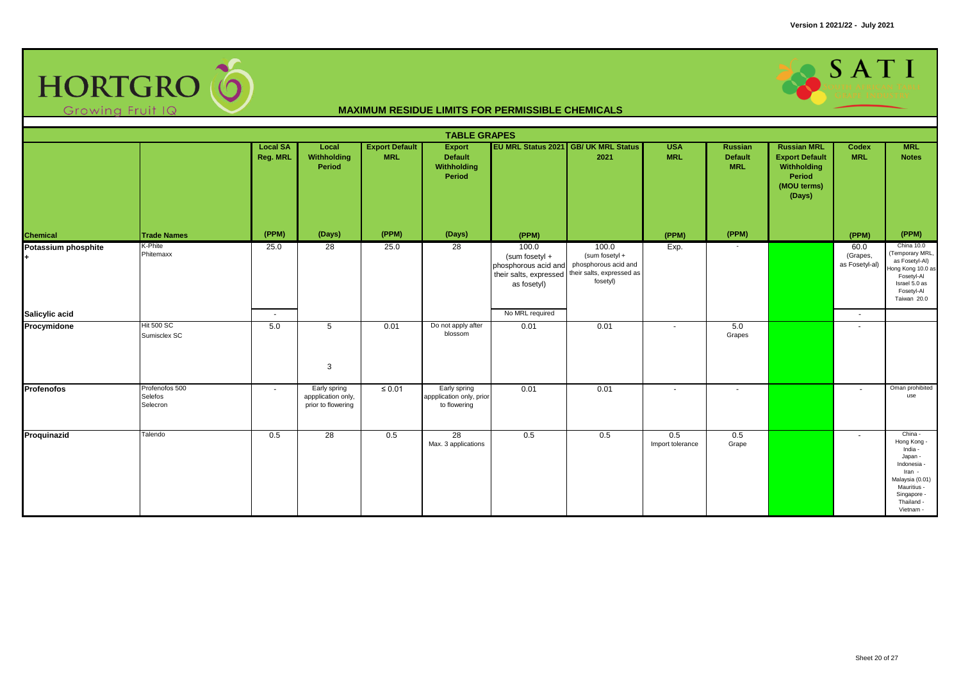

|                     |                                       |                             |                                                          |                                     | <b>TABLE GRAPES</b>                                             |                                                                                          |                                                                                          |                          |                                  |                                                                                               |                                    |                                                                                                                                                   |
|---------------------|---------------------------------------|-----------------------------|----------------------------------------------------------|-------------------------------------|-----------------------------------------------------------------|------------------------------------------------------------------------------------------|------------------------------------------------------------------------------------------|--------------------------|----------------------------------|-----------------------------------------------------------------------------------------------|------------------------------------|---------------------------------------------------------------------------------------------------------------------------------------------------|
|                     |                                       | <b>Local SA</b><br>Reg. MRL | Local<br>Withholding<br>Period                           | <b>Export Default</b><br><b>MRL</b> | <b>Export</b><br><b>Default</b><br><b>Withholding</b><br>Period |                                                                                          | EU MRL Status 2021 GB/ UK MRL Status<br>2021                                             | <b>USA</b><br><b>MRL</b> | Russian<br>Default<br><b>MRL</b> | <b>Russian MRL</b><br><b>Export Default</b><br>Withholding<br>Period<br>(MOU terms)<br>(Days) | Codex<br><b>MRL</b>                | <b>MRL</b><br><b>Notes</b>                                                                                                                        |
| Chemical            | <b>Trade Names</b>                    | (PPM)                       | (Days)                                                   | (PPM)                               | (Days)                                                          | (PPM)                                                                                    |                                                                                          | (PPM)                    | (PPM)                            |                                                                                               | (PPM)                              | (PPM)                                                                                                                                             |
| Potassium phosphite | K-Phite<br>Phitemaxx                  | 25.0                        | $\overline{28}$                                          | 25.0                                | 28                                                              | 100.0<br>(sum fosetyl +<br>phosphorous acid and<br>their salts, expressed<br>as fosetyl) | 100.0<br>(sum fosetyl +<br>phosphorous acid and<br>their salts, expressed as<br>fosetyl) | Exp.                     | $\sim$                           |                                                                                               | 60.0<br>(Grapes,<br>as Fosetyl-al) | China 10.0<br>(Temporary MRL,<br>as Fosetyl-Al)<br>Hong Kong 10.0 as<br>Fosetyl-Al<br>Israel 5.0 as<br>Fosetyl-Al<br>Taiwan 20.0                  |
| Salicylic acid      |                                       | $\sim$                      |                                                          |                                     |                                                                 | No MRL required                                                                          |                                                                                          |                          |                                  |                                                                                               | $\sim$                             |                                                                                                                                                   |
| Procymidone         | <b>Hit 500 SC</b><br>Sumisclex SC     | 5.0                         | 5<br>3                                                   | 0.01                                | Do not apply after<br>blossom                                   | 0.01                                                                                     | 0.01                                                                                     |                          | 5.0<br>Grapes                    |                                                                                               | $\sim$                             |                                                                                                                                                   |
| <b>Profenofos</b>   | Profenofos 500<br>Selefos<br>Selecron | $\sim$                      | Early spring<br>appplication only,<br>prior to flowering | $\leq 0.01$                         | Early spring<br>appplication only, prior<br>to flowering        | 0.01                                                                                     | 0.01                                                                                     | $\sim$                   | $\sim$                           |                                                                                               | $\sim$                             | Oman prohibited<br>use                                                                                                                            |
| Proquinazid         | Talendo                               | 0.5                         | $\overline{28}$                                          | 0.5                                 | 28<br>Max. 3 applications                                       | 0.5                                                                                      | 0.5                                                                                      | 0.5<br>Import tolerance  | 0.5<br>Grape                     |                                                                                               | $\sim$                             | China -<br>Hong Kong -<br>India -<br>Japan -<br>Indonesia -<br>Iran -<br>Malaysia (0.01)<br>Mauritius -<br>Singapore -<br>Thailand -<br>Vietnam - |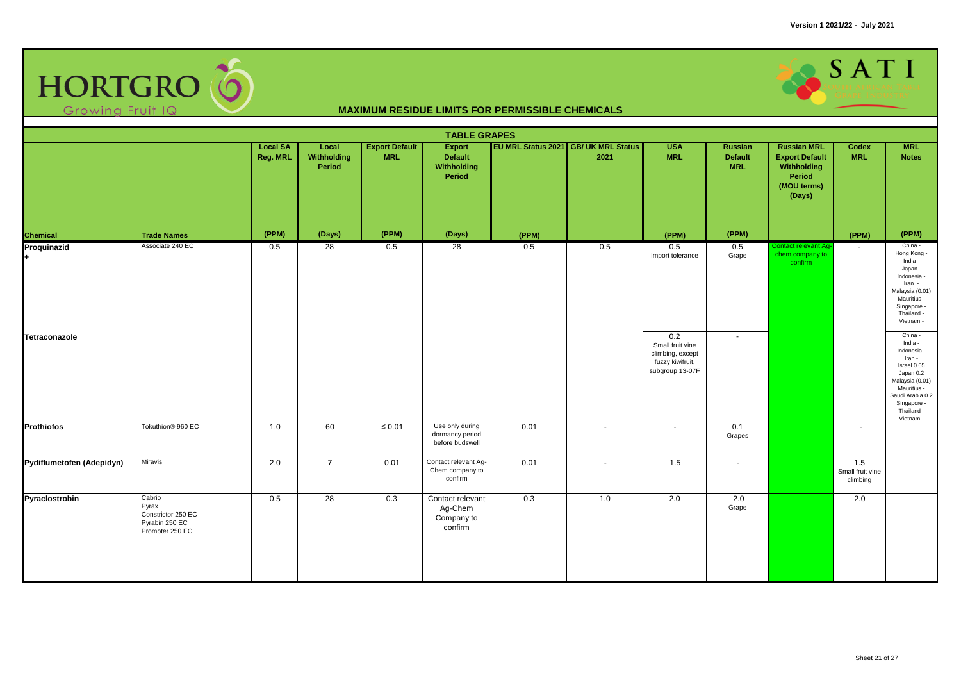

|                           |                                                                            |                             |                                |                                     | <b>TABLE GRAPES</b>                                      |       |                                              |                                                                                    |                                                |                                                                                               |                                     |                                                                                                                                                                         |
|---------------------------|----------------------------------------------------------------------------|-----------------------------|--------------------------------|-------------------------------------|----------------------------------------------------------|-------|----------------------------------------------|------------------------------------------------------------------------------------|------------------------------------------------|-----------------------------------------------------------------------------------------------|-------------------------------------|-------------------------------------------------------------------------------------------------------------------------------------------------------------------------|
|                           |                                                                            | <b>Local SA</b><br>Reg. MRL | Local<br>Withholding<br>Period | <b>Export Default</b><br><b>MRL</b> | <b>Export</b><br><b>Default</b><br>Withholding<br>Period |       | EU MRL Status 2021 GB/ UK MRL Status<br>2021 | <b>USA</b><br><b>MRL</b>                                                           | <b>Russian</b><br><b>Default</b><br><b>MRL</b> | <b>Russian MRL</b><br><b>Export Default</b><br>Withholding<br>Period<br>(MOU terms)<br>(Days) | Codex<br><b>MRL</b>                 | <b>MRL</b><br><b>Notes</b>                                                                                                                                              |
| Chemical                  | <b>Trade Names</b>                                                         | (PPM)                       | (Days)                         | (PPM)                               | (Days)                                                   | (PPM) |                                              | (PPM)                                                                              | (PPM)                                          |                                                                                               | (PPM)                               | (PPM)                                                                                                                                                                   |
| Proquinazid               | Associate 240 EC                                                           | 0.5                         | 28                             | 0.5                                 | $\overline{28}$                                          | 0.5   | 0.5                                          | 0.5<br>Import tolerance                                                            | 0.5<br>Grape                                   | Contact relevant Ag-<br>chem company to<br>confirm                                            | $\sim$                              | China -<br>Hong Kong -<br>India -<br>Japan -<br>Indonesia -<br>Iran -<br>Malaysia (0.01)<br>Mauritius -<br>Singapore -<br>Thailand -<br>Vietnam -                       |
| Tetraconazole             |                                                                            |                             |                                |                                     |                                                          |       |                                              | 0.2<br>Small fruit vine<br>climbing, except<br>fuzzy kiwifruit,<br>subgroup 13-07F | $\sim$                                         |                                                                                               |                                     | China -<br>India -<br>Indonesia -<br>Iran -<br>Israel 0.05<br>Japan 0.2<br>Malaysia (0.01)<br>Mauritius -<br>Saudi Arabia 0.2<br>Singapore -<br>Thailand -<br>Vietnam - |
| <b>Prothiofos</b>         | Tokuthion <sup>®</sup> 960 EC                                              | 1.0                         | 60                             | $\leq 0.01$                         | Use only during<br>dormancy period<br>before budswell    | 0.01  | $\sim$                                       | $\sim$                                                                             | 0.1<br>Grapes                                  |                                                                                               | $\sim$                              |                                                                                                                                                                         |
| Pydiflumetofen (Adepidyn) | Miravis                                                                    | 2.0                         | $\overline{7}$                 | 0.01                                | Contact relevant Ag-<br>Chem company to<br>confirm       | 0.01  | $\blacksquare$                               | 1.5                                                                                | $\sim$                                         |                                                                                               | 1.5<br>Small fruit vine<br>climbing |                                                                                                                                                                         |
| Pyraclostrobin            | Cabrio<br>Pyrax<br>Constrictor 250 EC<br>Pyrabin 250 EC<br>Promoter 250 EC | 0.5                         | $\overline{28}$                | 0.3                                 | Contact relevant<br>Ag-Chem<br>Company to<br>confirm     | 0.3   | 1.0                                          | 2.0                                                                                | 2.0<br>Grape                                   |                                                                                               | 2.0                                 |                                                                                                                                                                         |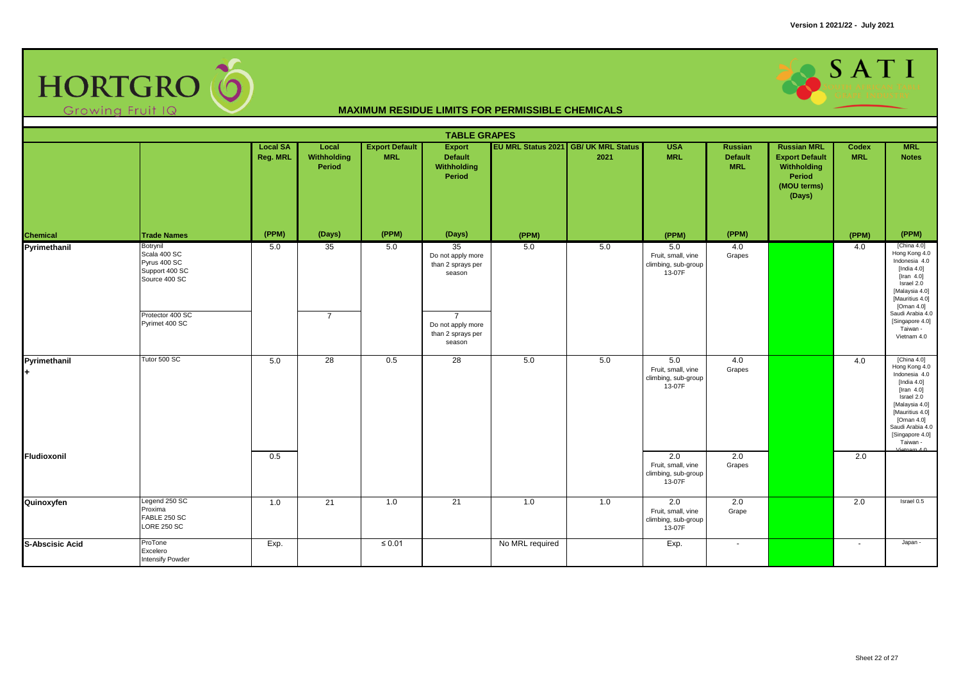

|                        |                                                                                                                   |                             |                                |                                     | <b>TABLE GRAPES</b>                                                                                                |                 |                                              |                                                            |                                         |                                                                                               |                     |                                                                                                                                                                                                                             |
|------------------------|-------------------------------------------------------------------------------------------------------------------|-----------------------------|--------------------------------|-------------------------------------|--------------------------------------------------------------------------------------------------------------------|-----------------|----------------------------------------------|------------------------------------------------------------|-----------------------------------------|-----------------------------------------------------------------------------------------------|---------------------|-----------------------------------------------------------------------------------------------------------------------------------------------------------------------------------------------------------------------------|
|                        |                                                                                                                   | <b>Local SA</b><br>Reg. MRL | Local<br>Withholding<br>Period | <b>Export Default</b><br><b>MRL</b> | <b>Export</b><br><b>Default</b><br><b>Withholding</b><br>Period                                                    |                 | EU MRL Status 2021 GB/ UK MRL Status<br>2021 | <b>USA</b><br><b>MRL</b>                                   | Russian<br><b>Default</b><br><b>MRL</b> | <b>Russian MRL</b><br><b>Export Default</b><br>Withholding<br>Period<br>(MOU terms)<br>(Days) | Codex<br><b>MRL</b> | <b>MRL</b><br><b>Notes</b>                                                                                                                                                                                                  |
| <b>Chemical</b>        | <b>Trade Names</b>                                                                                                | (PPM)                       | (Days)                         | (PPM)                               | (Days)                                                                                                             | (PPM)           |                                              | (PPM)                                                      | (PPM)                                   |                                                                                               | (PPM)               | (PPM)                                                                                                                                                                                                                       |
| Pyrimethanil           | Botrynil<br>Scala 400 SC<br>Pyrus 400 SC<br>Support 400 SC<br>Source 400 SC<br>Protector 400 SC<br>Pyrimet 400 SC | 5.0                         | 35<br>$\overline{7}$           | 5.0                                 | 35<br>Do not apply more<br>than 2 sprays per<br>season<br>$\overline{7}$<br>Do not apply more<br>than 2 sprays per | 5.0             | 5.0                                          | 5.0<br>Fruit, small, vine<br>climbing, sub-group<br>13-07F | 4.0<br>Grapes                           |                                                                                               | 4.0                 | [China $4.0$ ]<br>Hong Kong 4.0<br>Indonesia 4.0<br>[India $4.0$ ]<br>[Iran $4.0$ ]<br>Israel 2.0<br>[Malaysia 4.0]<br>[Mauritius 4.0]<br>[Oman 4.0]<br>Saudi Arabia 4.0<br>[Singapore 4.0]<br>Taiwan -<br>Vietnam 4.0      |
|                        |                                                                                                                   |                             |                                |                                     | season                                                                                                             |                 |                                              |                                                            |                                         |                                                                                               |                     |                                                                                                                                                                                                                             |
| Pyrimethanil<br>÷.     | Tutor 500 SC                                                                                                      | 5.0                         | $\overline{28}$                | 0.5                                 | 28                                                                                                                 | 5.0             | 5.0                                          | 5.0<br>Fruit, small, vine<br>climbing, sub-group<br>13-07F | 4.0<br>Grapes                           |                                                                                               | 4.0                 | [China $4.0$ ]<br>Hong Kong 4.0<br>Indonesia 4.0<br>[India $4.0$ ]<br>$[$ Iran 4.0 $]$<br>Israel 2.0<br>[Malaysia 4.0]<br>[Mauritius 4.0]<br>[Oman 4.0]<br>Saudi Arabia 4.0<br>[Singapore 4.0]<br>Taiwan -<br>Vietnam $4.0$ |
| Fludioxonil            |                                                                                                                   | 0.5                         |                                |                                     |                                                                                                                    |                 |                                              | 2.0<br>Fruit, small, vine<br>climbing, sub-group<br>13-07F | 2.0<br>Grapes                           |                                                                                               | 2.0                 |                                                                                                                                                                                                                             |
| Quinoxyfen             | Legend 250 SC<br>Proxima<br>FABLE 250 SC<br><b>LORE 250 SC</b>                                                    | 1.0                         | 21                             | 1.0                                 | 21                                                                                                                 | 1.0             | 1.0                                          | 2.0<br>Fruit, small, vine<br>climbing, sub-group<br>13-07F | 2.0<br>Grape                            |                                                                                               | 2.0                 | Israel 0.5                                                                                                                                                                                                                  |
| <b>S-Abscisic Acid</b> | ProTone<br>Excelero<br>Intensify Powder                                                                           | Exp.                        |                                | $\leq 0.01$                         |                                                                                                                    | No MRL required |                                              | Exp.                                                       | $\sim$                                  |                                                                                               | $\sim$              | Japan -                                                                                                                                                                                                                     |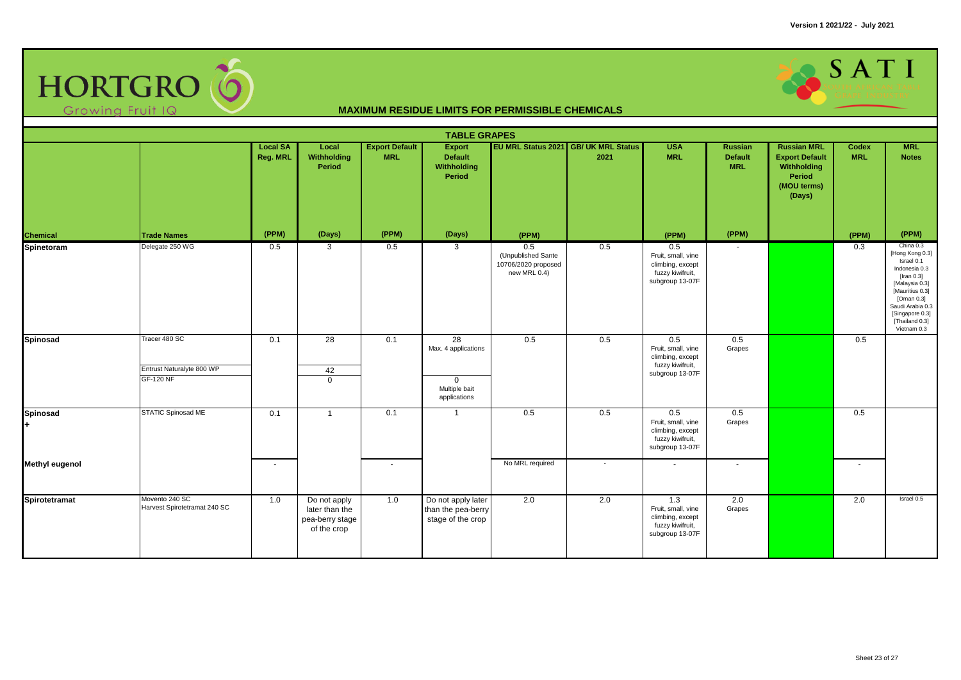

|                              |                                                                |                             |                                                                  |                                     | <b>TABLE GRAPES</b>                                                    |                                                                  |                                              |                                                                                      |                                                |                                                                                               |                     |                                                                                                                                                                                                         |
|------------------------------|----------------------------------------------------------------|-----------------------------|------------------------------------------------------------------|-------------------------------------|------------------------------------------------------------------------|------------------------------------------------------------------|----------------------------------------------|--------------------------------------------------------------------------------------|------------------------------------------------|-----------------------------------------------------------------------------------------------|---------------------|---------------------------------------------------------------------------------------------------------------------------------------------------------------------------------------------------------|
|                              |                                                                | <b>Local SA</b><br>Reg. MRL | Local<br>Withholding<br>Period                                   | <b>Export Default</b><br><b>MRL</b> | Export<br><b>Default</b><br><b>Withholding</b><br>Period               |                                                                  | EU MRL Status 2021 GB/ UK MRL Status<br>2021 | <b>USA</b><br><b>MRL</b>                                                             | <b>Russian</b><br><b>Default</b><br><b>MRL</b> | <b>Russian MRL</b><br><b>Export Default</b><br>Withholding<br>Period<br>(MOU terms)<br>(Days) | Codex<br><b>MRL</b> | <b>MRL</b><br><b>Notes</b>                                                                                                                                                                              |
| Chemical                     | <b>Trade Names</b>                                             | (PPM)                       | (Days)                                                           | (PPM)                               | (Days)                                                                 | (PPM)                                                            |                                              | (PPM)                                                                                | (PPM)                                          |                                                                                               | (PPM)               | (PPM)                                                                                                                                                                                                   |
| Spinetoram                   | Delegate 250 WG                                                | 0.5                         | 3                                                                | 0.5                                 | $\mathbf{3}$                                                           | 0.5<br>(Unpublished Sante<br>10706/2020 proposed<br>new MRL 0.4) | 0.5                                          | 0.5<br>Fruit, small, vine<br>climbing, except<br>fuzzy kiwifruit,<br>subgroup 13-07F | $\sim$                                         |                                                                                               | 0.3                 | China 0.3<br>[Hong Kong 0.3]<br>Israel 0.1<br>Indonesia 0.3<br>[Iran $0.3$ ]<br>[Malaysia 0.3]<br>[Mauritius 0.3]<br>[Oman 0.3]<br>Saudi Arabia 0.3<br>[Singapore 0.3]<br>[Thailand 0.3]<br>Vietnam 0.3 |
| <b>Spinosad</b>              | Tracer 480 SC<br>Entrust Naturalyte 800 WP<br><b>GF-120 NF</b> | 0.1                         | $\overline{28}$<br>42<br>$\Omega$                                | 0.1                                 | 28<br>Max. 4 applications<br>$\Omega$<br>Multiple bait<br>applications | 0.5                                                              | 0.5                                          | 0.5<br>Fruit, small, vine<br>climbing, except<br>fuzzy kiwifruit,<br>subgroup 13-07F | 0.5<br>Grapes                                  |                                                                                               | 0.5                 |                                                                                                                                                                                                         |
| <b>Spinosad</b><br>$\ddot{}$ | STATIC Spinosad ME                                             | 0.1                         | $\mathbf{1}$                                                     | 0.1                                 | $\overline{1}$                                                         | 0.5                                                              | 0.5                                          | 0.5<br>Fruit, small, vine<br>climbing, except<br>fuzzy kiwifruit,<br>subgroup 13-07F | 0.5<br>Grapes                                  |                                                                                               | 0.5                 |                                                                                                                                                                                                         |
| <b>Methyl eugenol</b>        |                                                                | $\sim$                      |                                                                  | $\sim$                              |                                                                        | No MRL required                                                  | $\sim$                                       | $\overline{a}$                                                                       | $\overline{\phantom{a}}$                       |                                                                                               | $\sim$              |                                                                                                                                                                                                         |
| Spirotetramat                | Movento 240 SC<br>Harvest Spirotetramat 240 SC                 | 1.0                         | Do not apply<br>later than the<br>pea-berry stage<br>of the crop | 1.0                                 | Do not apply later<br>than the pea-berry<br>stage of the crop          | 2.0                                                              | 2.0                                          | 1.3<br>Fruit, small, vine<br>climbing, except<br>fuzzy kiwifruit,<br>subgroup 13-07F | 2.0<br>Grapes                                  |                                                                                               | 2.0                 | Israel 0.5                                                                                                                                                                                              |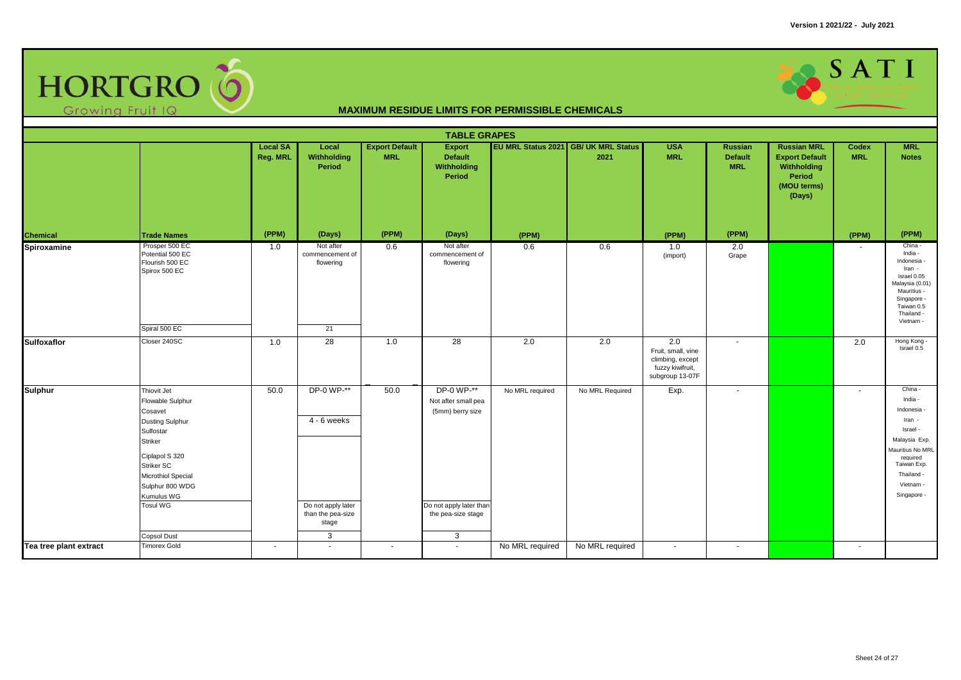

|                        |                                                                                                                                                                                                                                     |                             |                                                                                    |                                     | <b>TABLE GRAPES</b>                                                                                         |                 |                                              |                                                                                      |                                         |                                                                                               |                          |                                                                                                                                                                   |
|------------------------|-------------------------------------------------------------------------------------------------------------------------------------------------------------------------------------------------------------------------------------|-----------------------------|------------------------------------------------------------------------------------|-------------------------------------|-------------------------------------------------------------------------------------------------------------|-----------------|----------------------------------------------|--------------------------------------------------------------------------------------|-----------------------------------------|-----------------------------------------------------------------------------------------------|--------------------------|-------------------------------------------------------------------------------------------------------------------------------------------------------------------|
|                        |                                                                                                                                                                                                                                     | <b>Local SA</b><br>Reg. MRL | Local<br>Withholding<br>Period                                                     | <b>Export Default</b><br><b>MRL</b> | <b>Export</b><br>Default<br>Withholding<br>Period                                                           |                 | EU MRL Status 2021 GB/ UK MRL Status<br>2021 | <b>USA</b><br><b>MRL</b>                                                             | Russian<br><b>Default</b><br><b>MRL</b> | <b>Russian MRL</b><br><b>Export Default</b><br>Withholding<br>Period<br>(MOU terms)<br>(Days) | Codex<br><b>MRL</b>      | <b>MRL</b><br><b>Notes</b>                                                                                                                                        |
| <b>Chemical</b>        | <b>Trade Names</b>                                                                                                                                                                                                                  | (PPM)                       | (Days)                                                                             | (PPM)                               | (Days)                                                                                                      | (PPM)           |                                              | (PPM)                                                                                | (PPM)                                   |                                                                                               | (PPM)                    | (PPM)                                                                                                                                                             |
| Spiroxamine            | Prosper 500 EC<br>Potential 500 EC<br>Flourish 500 EC<br>Spirox 500 EC<br>Spiral 500 EC                                                                                                                                             | 1.0                         | Not after<br>commencement of<br>flowering<br>21                                    | 0.6                                 | Not after<br>commencement of<br>flowering                                                                   | 0.6             | 0.6                                          | 1.0<br>(import)                                                                      | 2.0<br>Grape                            |                                                                                               | $\overline{\phantom{a}}$ | China -<br>India -<br>Indonesia -<br>Iran -<br>Israel 0.05<br>Malaysia (0.01)<br>Mauritius -<br>Singapore -<br>Taiwan 0.5<br>Thailand -<br>Vietnam -              |
| <b>Sulfoxaflor</b>     | Closer 240SC                                                                                                                                                                                                                        | 1.0                         | 28                                                                                 | 1.0                                 | $\overline{28}$                                                                                             | 2.0             | 2.0                                          | 2.0<br>Fruit, small, vine<br>climbing, except<br>fuzzy kiwifruit,<br>subgroup 13-07F | $\sim$                                  |                                                                                               | 2.0                      | Hong Kong -<br>Israel 0.5                                                                                                                                         |
| <b>Sulphur</b>         | Thiovit Jet<br>Flowable Sulphur<br>Cosavet<br><b>Dusting Sulphur</b><br>Sulfostar<br>Striker<br>Ciplapol S 320<br><b>Striker SC</b><br>Microthiol Special<br>Sulphur 800 WDG<br>Kumulus WG<br><b>Tosul WG</b><br><b>Copsol Dust</b> | 50.0                        | DP-0 WP-**<br>4 - 6 weeks<br>Do not apply later<br>than the pea-size<br>stage<br>3 | 50.0                                | DP-0 WP-**<br>Not after small pea<br>(5mm) berry size<br>Do not apply later than<br>the pea-size stage<br>3 | No MRL required | No MRL Required                              | Exp.                                                                                 | $\sim$                                  |                                                                                               | $\sim$                   | China -<br>India -<br>Indonesia -<br>Iran -<br>Israel -<br>Malaysia Exp.<br>Mauritius No MRL<br>required<br>Taiwan Exp.<br>Thailand -<br>Vietnam -<br>Singapore - |
| Tea tree plant extract | <b>Timorex Gold</b>                                                                                                                                                                                                                 | $\sim$                      | $\sim$                                                                             | $\sim$                              | $\sim$                                                                                                      | No MRL required | No MRL required                              | $\sim$                                                                               | $\sim$                                  |                                                                                               | $\sim$                   |                                                                                                                                                                   |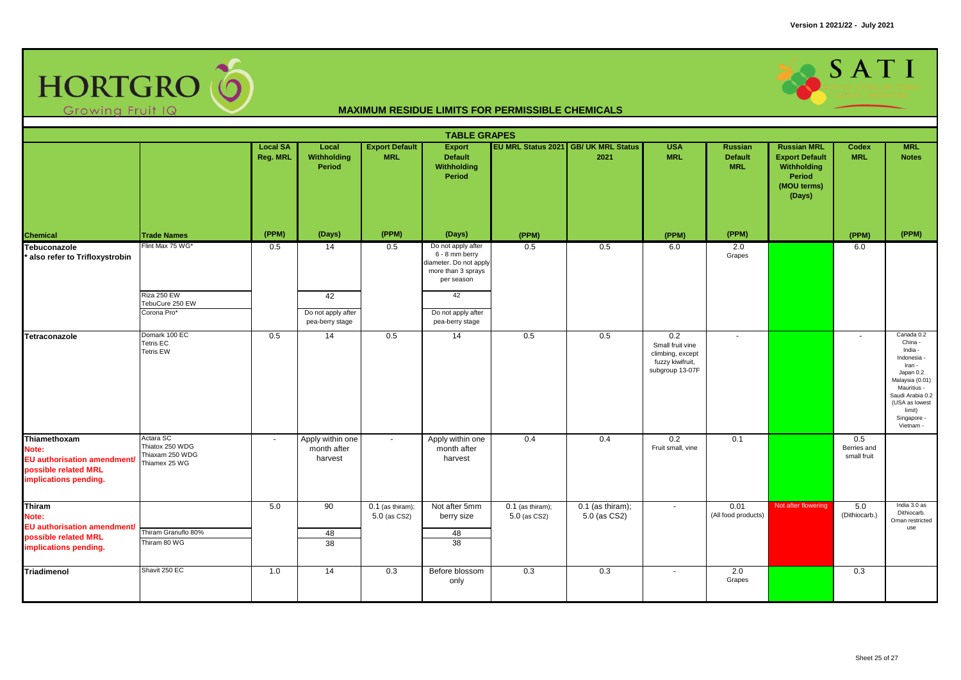

| <b>TABLE GRAPES</b>                                                                                   |                                                                  |                             |                                            |                                     |                                                                                                    |                                    |                                              |                                                                                    |                                                |                                                                                                      |                                   |                                                                                                                                                                                      |
|-------------------------------------------------------------------------------------------------------|------------------------------------------------------------------|-----------------------------|--------------------------------------------|-------------------------------------|----------------------------------------------------------------------------------------------------|------------------------------------|----------------------------------------------|------------------------------------------------------------------------------------|------------------------------------------------|------------------------------------------------------------------------------------------------------|-----------------------------------|--------------------------------------------------------------------------------------------------------------------------------------------------------------------------------------|
|                                                                                                       |                                                                  | <b>Local SA</b><br>Reg. MRL | Local<br>Withholding<br>Period             | <b>Export Default</b><br><b>MRL</b> | <b>Export</b><br><b>Default</b><br>Withholding<br>Period                                           |                                    | EU MRL Status 2021 GB/ UK MRL Status<br>2021 | <b>USA</b><br><b>MRL</b>                                                           | <b>Russian</b><br><b>Default</b><br><b>MRL</b> | <b>Russian MRL</b><br><b>Export Default</b><br>Withholding<br><b>Period</b><br>(MOU terms)<br>(Days) | Codex<br><b>MRL</b>               | <b>MRL</b><br><b>Notes</b>                                                                                                                                                           |
| Chemical                                                                                              | <b>Trade Names</b>                                               | (PPM)                       | (Days)                                     | (PPM)                               | (Days)                                                                                             | (PPM)                              |                                              | (PPM)                                                                              | (PPM)                                          |                                                                                                      | (PPM)                             | (PPM)                                                                                                                                                                                |
| Tebuconazole<br>* also refer to Trifloxystrobin                                                       | Flint Max 75 WG*                                                 | 0.5                         | 14                                         | 0.5                                 | Do not apply after<br>6 - 8 mm berry<br>diameter. Do not apply<br>more than 3 sprays<br>per season | 0.5                                | 0.5                                          | 6.0                                                                                | 2.0<br>Grapes                                  |                                                                                                      | 6.0                               |                                                                                                                                                                                      |
|                                                                                                       | Riza 250 EW<br>TebuCure 250 EW                                   |                             | 42                                         |                                     | 42                                                                                                 |                                    |                                              |                                                                                    |                                                |                                                                                                      |                                   |                                                                                                                                                                                      |
|                                                                                                       | Corona Pro*                                                      |                             | Do not apply after<br>pea-berry stage      |                                     | Do not apply after<br>pea-berry stage                                                              |                                    |                                              |                                                                                    |                                                |                                                                                                      |                                   |                                                                                                                                                                                      |
| Tetraconazole                                                                                         | Domark 100 EC<br><b>Tetris EC</b><br><b>Tetris EW</b>            | 0.5                         | 14                                         | 0.5                                 | 14                                                                                                 | 0.5                                | 0.5                                          | 0.2<br>Small fruit vine<br>climbing, except<br>fuzzy kiwifruit,<br>subgroup 13-07F | $\blacksquare$                                 |                                                                                                      | $\sim$                            | Canada 0.2<br>China -<br>India -<br>Indonesia -<br>Iran -<br>Japan 0.2<br>Malaysia (0.01)<br>Mauritius -<br>Saudi Arabia 0.2<br>(USA as lowest<br>limit)<br>Singapore -<br>Vietnam - |
| Thiamethoxam<br>Note:<br>EU authorisation amendment/<br>possible related MRL<br>implications pending. | Actara SC<br>Thiatox 250 WDG<br>Thiaxam 250 WDG<br>Thiamex 25 WG | $\sim$                      | Apply within one<br>month after<br>harvest | $\sim$                              | Apply within one<br>month after<br>harvest                                                         | 0.4                                | 0.4                                          | 0.2<br>Fruit small, vine                                                           | 0.1                                            |                                                                                                      | 0.5<br>Berries and<br>small fruit |                                                                                                                                                                                      |
| Thiram<br>Note:<br>EU authorisation amendment/<br>possible related MRL<br>implications pending.       | Thiram Granuflo 80%<br>Thiram 80 WG                              | 5.0                         | 90<br>48<br>38                             | $0.1$ (as thiram);<br>5.0 (as CS2)  | Not after 5mm<br>berry size<br>48<br>38                                                            | $0.1$ (as thiram);<br>5.0 (as CS2) | $0.1$ (as thiram);<br>5.0 (as CS2)           | $\sim$                                                                             | 0.01<br>(All food products)                    | Not after flowering                                                                                  | 5.0<br>(Dithiocarb.)              | India 3.0 as<br>Dithiocarb.<br>Oman restricted<br>use                                                                                                                                |
| <b>Triadimenol</b>                                                                                    | Shavit 250 EC                                                    | 1.0                         | 14                                         | 0.3                                 | Before blossom<br>only                                                                             | 0.3                                | 0.3                                          | $\sim$                                                                             | 2.0<br>Grapes                                  |                                                                                                      | 0.3                               |                                                                                                                                                                                      |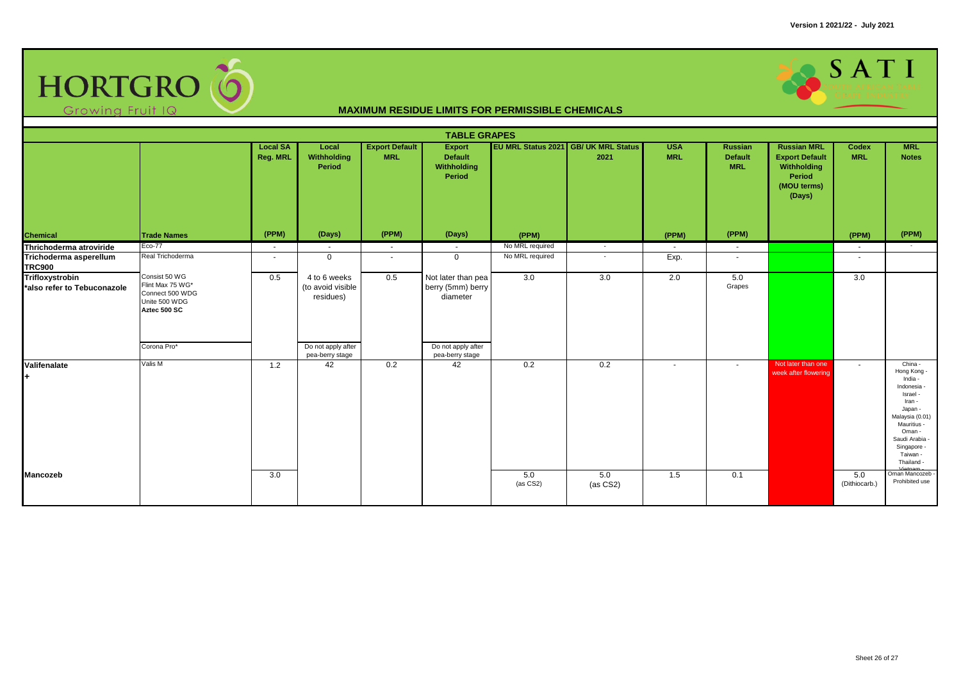

| <b>TABLE GRAPES</b>                            |                                                                                                      |                             |                                                                      |                                     |                                                                           |                   |                                                     |                          |                                         |                                                                                               |                      |                                                                                                                                                                                          |
|------------------------------------------------|------------------------------------------------------------------------------------------------------|-----------------------------|----------------------------------------------------------------------|-------------------------------------|---------------------------------------------------------------------------|-------------------|-----------------------------------------------------|--------------------------|-----------------------------------------|-----------------------------------------------------------------------------------------------|----------------------|------------------------------------------------------------------------------------------------------------------------------------------------------------------------------------------|
|                                                |                                                                                                      | <b>Local SA</b><br>Reg. MRL | Local<br>Withholding<br>Period                                       | <b>Export Default</b><br><b>MRL</b> | <b>Export</b><br><b>Default</b><br>Withholding<br>Period                  |                   | <b>EU MRL Status 2021 GB/ UK MRL Status</b><br>2021 | <b>USA</b><br><b>MRL</b> | Russian<br><b>Default</b><br><b>MRL</b> | <b>Russian MRL</b><br><b>Export Default</b><br>Withholding<br>Period<br>(MOU terms)<br>(Days) | Codex<br><b>MRL</b>  | <b>MRL</b><br><b>Notes</b>                                                                                                                                                               |
| Chemical                                       | <b>Trade Names</b>                                                                                   | (PPM)                       | (Days)                                                               | (PPM)                               | (Days)                                                                    | (PPM)             |                                                     | (PPM)                    | (PPM)                                   |                                                                                               | (PPM)                | (PPM)                                                                                                                                                                                    |
| Thrichoderma atroviride                        | Eco-77                                                                                               | $\sim$                      | $\sim$                                                               | $\sim$                              | $\sim$                                                                    | No MRL required   | $\sim$                                              | $\sim$                   | $\sim$                                  |                                                                                               | $\sim$               |                                                                                                                                                                                          |
| Trichoderma asperellum<br><b>TRC900</b>        | Real Trichoderma                                                                                     | ٠                           | $\Omega$                                                             | $\sim$                              | $\mathbf 0$                                                               | No MRL required   | $\sim$                                              | Exp.                     | $\sim$                                  |                                                                                               | $\sim$               |                                                                                                                                                                                          |
| Trifloxystrobin<br>*also refer to Tebuconazole | Consist 50 WG<br>Flint Max 75 WG*<br>Connect 500 WDG<br>Unite 500 WDG<br>Aztec 500 SC<br>Corona Pro* | 0.5                         | 4 to 6 weeks<br>(to avoid visible<br>residues)<br>Do not apply after | 0.5                                 | Not later than pea<br>berry (5mm) berry<br>diameter<br>Do not apply after | 3.0               | 3.0                                                 | 2.0                      | 5.0<br>Grapes                           |                                                                                               | 3.0                  |                                                                                                                                                                                          |
|                                                |                                                                                                      |                             | pea-berry stage                                                      |                                     | pea-berry stage                                                           |                   |                                                     |                          |                                         |                                                                                               |                      |                                                                                                                                                                                          |
| Valifenalate<br>÷                              | Valis M                                                                                              | 1.2                         | 42                                                                   | 0.2                                 | 42                                                                        | 0.2               | 0.2                                                 | $\sim$                   | $\sim$                                  | Not later than one<br>week after flowering                                                    | $\sim$               | China -<br>Hong Kong -<br>India -<br>Indonesia -<br>Israel -<br>Iran -<br>Japan -<br>Malaysia (0.01)<br>Mauritius -<br>Oman -<br>Saudi Arabia -<br>Singapore -<br>Taiwan -<br>Thailand - |
| Mancozeb                                       |                                                                                                      | 3.0                         |                                                                      |                                     |                                                                           | 5.0<br>$(as CS2)$ | 5.0<br>(as CS2)                                     | 1.5                      | 0.1                                     |                                                                                               | 5.0<br>(Dithiocarb.) | Oman Mancozeb<br>Prohibited use                                                                                                                                                          |